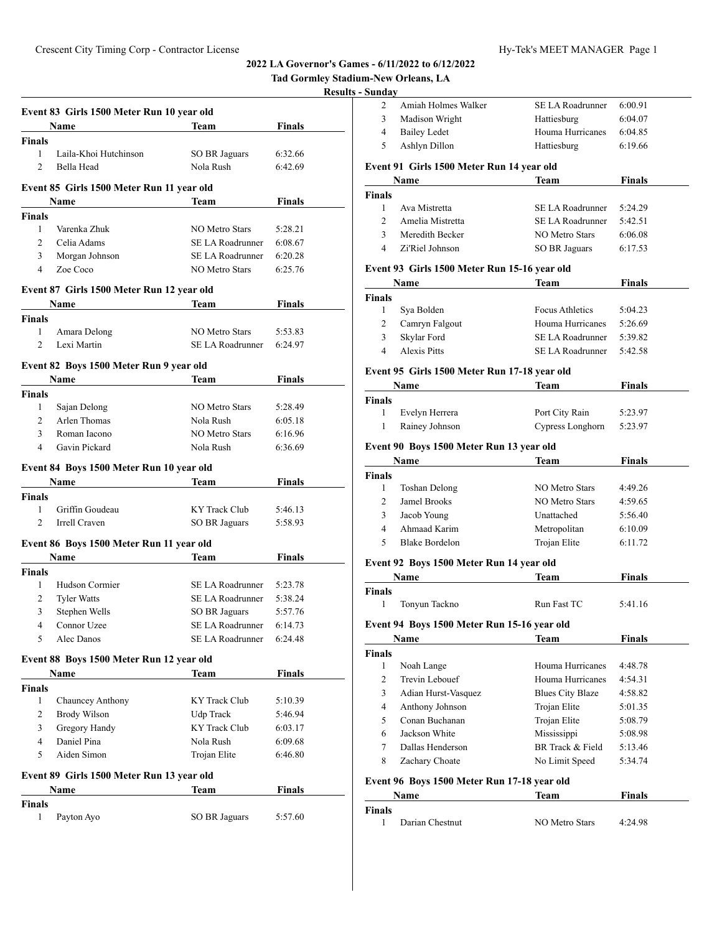|                                                      |                                           |                       |               | <b>Results - Sunday</b>                                                                                   |
|------------------------------------------------------|-------------------------------------------|-----------------------|---------------|-----------------------------------------------------------------------------------------------------------|
|                                                      | Event 83 Girls 1500 Meter Run 10 year old |                       |               | 2                                                                                                         |
|                                                      | Name                                      | Team                  | <b>Finals</b> | 3                                                                                                         |
| <b>Finals</b>                                        |                                           |                       |               | $\overline{4}$<br>5                                                                                       |
| 1                                                    | Laila-Khoi Hutchinson                     | <b>SO BR Jaguars</b>  | 6:32.66       |                                                                                                           |
| $\mathfrak{D}$                                       | Bella Head                                | Nola Rush             | 6:42.69       | Event 9                                                                                                   |
|                                                      |                                           |                       |               |                                                                                                           |
|                                                      | Event 85 Girls 1500 Meter Run 11 year old |                       |               | <b>Finals</b>                                                                                             |
|                                                      | Name                                      | Team                  | <b>Finals</b> | $\mathbf{1}$                                                                                              |
| Finals<br>$\mathbf{1}$                               | Varenka Zhuk                              | <b>NO Metro Stars</b> | 5:28.21       | 2                                                                                                         |
| $\overline{2}$                                       | Celia Adams                               | SE LA Roadrunner      | 6:08.67       | 3                                                                                                         |
| 3                                                    | Morgan Johnson                            | SE LA Roadrunner      | 6:20.28       | 4                                                                                                         |
| 4                                                    | Zoe Coco                                  | <b>NO Metro Stars</b> | 6:25.76       | Event 9                                                                                                   |
|                                                      |                                           |                       |               | $\mathbf{N}$                                                                                              |
|                                                      | Event 87 Girls 1500 Meter Run 12 year old |                       |               | Finals                                                                                                    |
|                                                      | Name                                      | <b>Team</b>           | <b>Finals</b> | 1                                                                                                         |
| <b>Finals</b>                                        |                                           |                       |               | 2                                                                                                         |
| $\mathbf{1}$                                         | Amara Delong                              | <b>NO Metro Stars</b> | 5:53.83       | 3                                                                                                         |
| $\overline{2}$                                       | Lexi Martin                               | SE LA Roadrunner      | 6:24.97       | $\overline{4}$                                                                                            |
|                                                      | Event 82 Boys 1500 Meter Run 9 year old   |                       |               |                                                                                                           |
|                                                      | Name                                      | Team                  | Finals        | Event 9                                                                                                   |
| <b>Finals</b>                                        |                                           |                       |               |                                                                                                           |
| 1                                                    | Sajan Delong                              | <b>NO Metro Stars</b> | 5:28.49       | <b>Finals</b>                                                                                             |
| $\overline{2}$                                       | Arlen Thomas                              | Nola Rush             | 6:05.18       | 1                                                                                                         |
| 3                                                    | Roman Iacono                              | <b>NO Metro Stars</b> | 6:16.96       | 1                                                                                                         |
| 4                                                    | Gavin Pickard                             | Nola Rush             | 6:36.69       | Event 9                                                                                                   |
|                                                      |                                           |                       |               |                                                                                                           |
|                                                      | Event 84 Boys 1500 Meter Run 10 year old  |                       |               | Finals                                                                                                    |
|                                                      | Name                                      | Team                  | <b>Finals</b> | 1                                                                                                         |
| Finals                                               |                                           |                       |               | $\overline{c}$                                                                                            |
| $\mathbf{1}$                                         | Griffin Goudeau                           | KY Track Club         | 5:46.13       | 3                                                                                                         |
| $\overline{2}$                                       | Irrell Craven                             | SO BR Jaguars         | 5:58.93       | 4                                                                                                         |
|                                                      |                                           |                       |               | 5                                                                                                         |
|                                                      | Event 86 Boys 1500 Meter Run 11 year old  |                       |               |                                                                                                           |
|                                                      | Name                                      | <b>Team</b>           | Finals        |                                                                                                           |
|                                                      |                                           |                       |               |                                                                                                           |
| 1                                                    | Hudson Cormier                            | SE LA Roadrunner      | 5:23.78       |                                                                                                           |
| $\overline{2}$                                       | <b>Tyler Watts</b>                        | SE LA Roadrunner      | 5:38.24       |                                                                                                           |
| 3                                                    | Stephen Wells                             | <b>SO BR Jaguars</b>  | 5:57.76       |                                                                                                           |
| $\overline{4}$                                       | Connor Uzee                               | SE LA Roadrunner      | 6:14.73       |                                                                                                           |
| 5                                                    | Alec Danos                                | SE LA Roadrunner      | 6:24.48       |                                                                                                           |
|                                                      |                                           |                       |               |                                                                                                           |
|                                                      | Event 88 Boys 1500 Meter Run 12 year old  |                       |               |                                                                                                           |
|                                                      | Name                                      | <b>Team</b>           | <b>Finals</b> |                                                                                                           |
|                                                      |                                           |                       |               |                                                                                                           |
| $\mathbf{1}$                                         | Chauncey Anthony                          | KY Track Club         | 5:10.39       |                                                                                                           |
| $\overline{c}$                                       | <b>Brody Wilson</b>                       | Udp Track             | 5:46.94       |                                                                                                           |
| 3                                                    | Gregory Handy                             | <b>KY Track Club</b>  | 6:03.17       |                                                                                                           |
| 4                                                    | Daniel Pina                               | Nola Rush             | 6:09.68       |                                                                                                           |
| 5                                                    | Aiden Simon                               | Trojan Elite          | 6:46.80       |                                                                                                           |
|                                                      | Event 89 Girls 1500 Meter Run 13 year old |                       |               |                                                                                                           |
|                                                      | Name                                      | Team                  | Finals        | 7<br>8                                                                                                    |
| <b>Finals</b><br><b>Finals</b><br><b>Finals</b><br>1 | Payton Ayo                                | SO BR Jaguars         | 5:57.60       | Event 9<br>Finals<br>$\mathbf{1}$<br>Event 9<br>Finals<br>1<br>2<br>3<br>4<br>5<br>6<br>Event 9<br>Finals |

| Sundav         | n-New Orleans, LA                            |                              |                    |
|----------------|----------------------------------------------|------------------------------|--------------------|
| 2              | Amiah Holmes Walker                          | SE LA Roadrunner             | 6:00.91            |
| 3              | Madison Wright                               | Hattiesburg                  | 6:04.07            |
| 4              | <b>Bailey Ledet</b>                          | Houma Hurricanes             | 6:04.85            |
| 5              | Ashlyn Dillon                                | Hattiesburg                  | 6:19.66            |
|                | Event 91 Girls 1500 Meter Run 14 year old    |                              |                    |
|                | Name                                         | Team                         | Finals             |
| Finals         |                                              |                              |                    |
| 1              | Ava Mistretta                                | SE LA Roadrunner             | 5:24.29            |
| $\overline{2}$ | Amelia Mistretta                             | SE LA Roadrunner             | 5:42.51            |
| 3              | Meredith Becker                              | <b>NO Metro Stars</b>        | 6:06.08            |
| 4              | Zi'Riel Johnson                              | SO BR Jaguars                | 6:17.53            |
|                | Event 93 Girls 1500 Meter Run 15-16 year old |                              |                    |
|                | Name                                         | Team                         | Finals             |
| Finals         |                                              |                              |                    |
| 1              | Sya Bolden                                   | <b>Focus Athletics</b>       | 5:04.23            |
| 2              | Camryn Falgout                               | Houma Hurricanes             | 5:26.69            |
| 3              | Skylar Ford                                  | SE LA Roadrunner             | 5:39.82            |
| 4              | <b>Alexis Pitts</b>                          | SE LA Roadrunner             | 5:42.58            |
|                | Event 95 Girls 1500 Meter Run 17-18 year old |                              |                    |
|                | Name                                         | Team                         | Finals             |
| <b>Finals</b>  |                                              |                              |                    |
| 1              | Evelyn Herrera                               | Port City Rain               | 5:23.97            |
| 1              | Rainey Johnson                               | Cypress Longhorn             | 5:23.97            |
|                |                                              |                              |                    |
|                | Event 90 Boys 1500 Meter Run 13 year old     |                              |                    |
|                | Name                                         | Team                         | Finals             |
| Finals         |                                              |                              |                    |
| 1              | <b>Toshan Delong</b>                         | <b>NO Metro Stars</b>        | 4:49.26            |
| 2              | Jamel Brooks                                 | <b>NO Metro Stars</b>        | 4:59.65<br>5:56.40 |
| 3<br>4         | Jacob Young<br>Ahmaad Karim                  | Unattached                   | 6:10.09            |
| 5              | <b>Blake Bordelon</b>                        | Metropolitan<br>Trojan Elite | 6:11.72            |
|                |                                              |                              |                    |
|                | Event 92 Boys 1500 Meter Run 14 year old     |                              |                    |
|                | Name                                         | Team                         | Finals             |
| Finals         |                                              |                              |                    |
| 1              | Tonyun Tackno                                | Run Fast TC                  | 5:41.16            |
|                | Event 94 Boys 1500 Meter Run 15-16 year old  |                              |                    |
|                | Name                                         | Team                         | <b>Finals</b>      |
| Finals         |                                              |                              |                    |
| 1              | Noah Lange                                   | Houma Hurricanes             | 4:48.78            |
| 2              | Trevin Lebouef                               | Houma Hurricanes             | 4:54.31            |
| 3              | Adian Hurst-Vasquez                          | <b>Blues City Blaze</b>      | 4:58.82            |
| 4              | Anthony Johnson                              | Trojan Elite                 | 5:01.35            |
| 5              | Conan Buchanan                               | Trojan Elite                 | 5:08.79            |
| 6              | Jackson White                                | Mississippi                  | 5:08.98            |
| 7              | Dallas Henderson                             | BR Track & Field             | 5:13.46            |
| 8              | Zachary Choate                               | No Limit Speed               | 5:34.74            |
|                | Event 96 Boys 1500 Meter Run 17-18 year old  |                              |                    |
|                | Name                                         | Team                         | <b>Finals</b>      |
| Finals         |                                              |                              |                    |
| 1              | Darian Chestnut                              | NO Metro Stars               | 4:24.98            |
|                |                                              |                              |                    |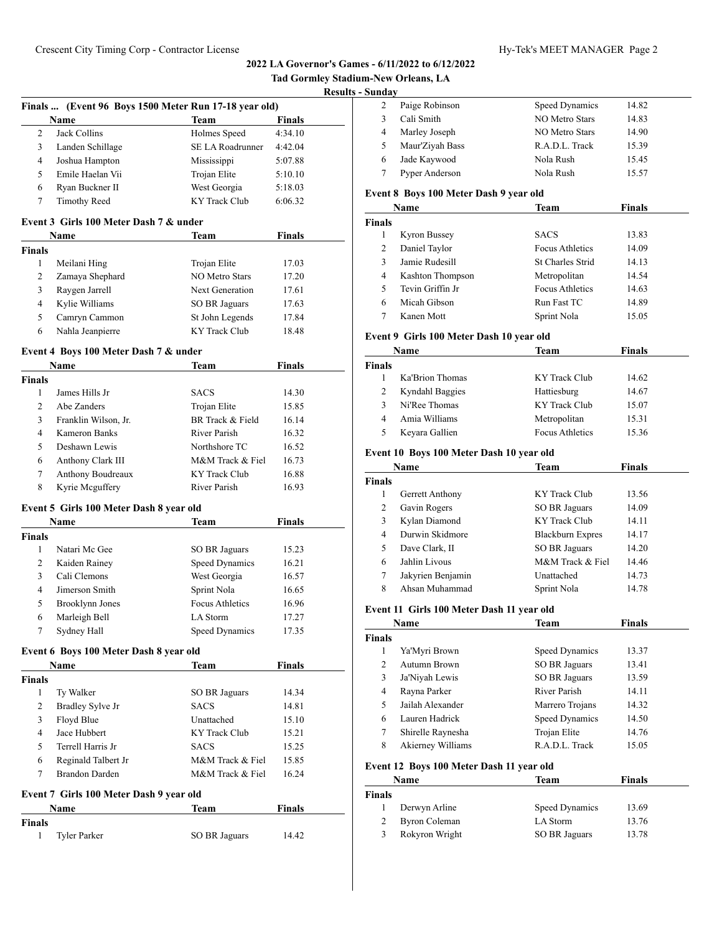| <b>Tad Gormley Stadium-New Orleans, LA</b> |
|--------------------------------------------|
| <b>Results - Sunday</b>                    |

# **Finals ... (Event 96 Boys 1500 Meter Run 17-18 year old)**

|   | <b>Name</b>         | <b>Team</b>      | Finals  |
|---|---------------------|------------------|---------|
|   | Jack Collins        | Holmes Speed     | 4:34.10 |
|   | Landen Schillage    | SE LA Roadrunner | 4:42.04 |
| 4 | Joshua Hampton      | Mississippi      | 5:07.88 |
|   | Emile Haelan Vii    | Trojan Elite     | 5:10.10 |
| 6 | Ryan Buckner II     | West Georgia     | 5:18.03 |
|   | <b>Timothy Reed</b> | KY Track Club    | 6:06.32 |

#### **Event 3 Girls 100 Meter Dash 7 & under**

| <b>Name</b>   |                  | Team                 | <b>Finals</b> |  |
|---------------|------------------|----------------------|---------------|--|
| <b>Finals</b> |                  |                      |               |  |
|               | Meilani Hing     | Trojan Elite         | 17.03         |  |
| 2             | Zamaya Shephard  | NO Metro Stars       | 17.20         |  |
| 3             | Raygen Jarrell   | Next Generation      | 17.61         |  |
| 4             | Kylie Williams   | <b>SO BR Jaguars</b> | 17.63         |  |
| 5             | Camryn Cammon    | St John Legends      | 17.84         |  |
| 6             | Nahla Jeanpierre | KY Track Club        | 18.48         |  |

#### **Event 4 Boys 100 Meter Dash 7 & under**

| <b>Name</b>   |                      | Team             | Finals |  |
|---------------|----------------------|------------------|--------|--|
| <b>Finals</b> |                      |                  |        |  |
|               | James Hills Jr       | <b>SACS</b>      | 14.30  |  |
| $\mathcal{L}$ | Abe Zanders          | Trojan Elite     | 15.85  |  |
| 3             | Franklin Wilson, Jr. | BR Track & Field | 16.14  |  |
| 4             | Kameron Banks        | River Parish     | 16.32  |  |
| 5             | Deshawn Lewis        | Northshore TC    | 16.52  |  |
| 6             | Anthony Clark III    | M&M Track & Fiel | 16.73  |  |
| 7             | Anthony Boudreaux    | KY Track Club    | 16.88  |  |
| 8             | Kyrie Mcguffery      | River Parish     | 16.93  |  |

## **Event 5 Girls 100 Meter Dash 8 year old**

| Name          |                 | Team                   | <b>Finals</b> |  |
|---------------|-----------------|------------------------|---------------|--|
| <b>Finals</b> |                 |                        |               |  |
|               | Natari Mc Gee   | <b>SO BR Jaguars</b>   | 15.23         |  |
| 2             | Kaiden Rainey   | Speed Dynamics         | 16.21         |  |
| 3             | Cali Clemons    | West Georgia           | 16.57         |  |
| 4             | Jimerson Smith  | Sprint Nola            | 16.65         |  |
| 5             | Brooklynn Jones | <b>Focus Athletics</b> | 16.96         |  |
| 6             | Marleigh Bell   | LA Storm               | 17.27         |  |
|               | Sydney Hall     | Speed Dynamics         | 17.35         |  |

# **Event 6 Boys 100 Meter Dash 8 year old**

|        | Name                | Team                 | <b>Finals</b> |
|--------|---------------------|----------------------|---------------|
| Finals |                     |                      |               |
| 1      | Ty Walker           | <b>SO BR Jaguars</b> | 14.34         |
| 2      | Bradley Sylve Jr    | <b>SACS</b>          | 14.81         |
| 3      | Floyd Blue          | Unattached           | 15.10         |
| 4      | Jace Hubbert        | KY Track Club        | 15.21         |
| 5      | Terrell Harris Jr   | <b>SACS</b>          | 15.25         |
| 6      | Reginald Talbert Jr | M&M Track & Fiel     | 15.85         |
|        | Brandon Darden      | M&M Track & Fiel     | 16.24         |

# **Event 7 Girls 100 Meter Dash 9 year old**

|               | Name         | Team          | <b>Finals</b> |  |
|---------------|--------------|---------------|---------------|--|
| <b>Finals</b> |              |               |               |  |
|               | Tyler Parker | SO BR Jaguars | 14.42         |  |

| . |                 |                |       |
|---|-----------------|----------------|-------|
|   | Paige Robinson  | Speed Dynamics | 14.82 |
|   | Cali Smith      | NO Metro Stars | 14.83 |
| 4 | Marley Joseph   | NO Metro Stars | 14.90 |
| 5 | Maur'Ziyah Bass | R.A.D.L. Track | 15.39 |
| 6 | Jade Kaywood    | Nola Rush      | 15.45 |
|   | Pyper Anderson  | Nola Rush      | 15.57 |
|   |                 |                |       |

## **Event 8 Boys 100 Meter Dash 9 year old**

|               | Name             | Team                   | <b>Finals</b> |  |
|---------------|------------------|------------------------|---------------|--|
| <b>Finals</b> |                  |                        |               |  |
|               | Kyron Bussey     | <b>SACS</b>            | 13.83         |  |
| 2             | Daniel Taylor    | <b>Focus Athletics</b> | 14.09         |  |
| 3             | Jamie Rudesill   | St Charles Strid       | 14.13         |  |
| 4             | Kashton Thompson | Metropolitan           | 14.54         |  |
| 5             | Tevin Griffin Jr | <b>Focus Athletics</b> | 14.63         |  |
| 6             | Micah Gibson     | Run Fast TC            | 14.89         |  |
|               | Kanen Mott       | Sprint Nola            | 15.05         |  |

## **Event 9 Girls 100 Meter Dash 10 year old**

| Name          |                 | Team                   | <b>Finals</b> |  |
|---------------|-----------------|------------------------|---------------|--|
| <b>Finals</b> |                 |                        |               |  |
|               | Ka'Brion Thomas | KY Track Club          | 14.62         |  |
| 2             | Kyndahl Baggies | Hattiesburg            | 14.67         |  |
| 3             | Ni'Ree Thomas   | KY Track Club          | 15.07         |  |
| 4             | Amia Williams   | Metropolitan           | 15.31         |  |
| 5             | Keyara Gallien  | <b>Focus Athletics</b> | 15.36         |  |

## **Event 10 Boys 100 Meter Dash 10 year old**

| Name          |                   | Team                    | Finals |  |
|---------------|-------------------|-------------------------|--------|--|
| <b>Finals</b> |                   |                         |        |  |
|               | Gerrett Anthony   | KY Track Club           | 13.56  |  |
| 2             | Gavin Rogers      | SO BR Jaguars           | 14.09  |  |
| 3             | Kylan Diamond     | KY Track Club           | 14.11  |  |
| 4             | Durwin Skidmore   | <b>Blackburn Expres</b> | 14.17  |  |
| 5             | Dave Clark, II    | <b>SO BR Jaguars</b>    | 14.20  |  |
| 6             | Jahlin Livous     | M&M Track & Fiel        | 14.46  |  |
| 7             | Jakyrien Benjamin | Unattached              | 14.73  |  |
| 8             | Ahsan Muhammad    | Sprint Nola             | 14.78  |  |

#### **Event 11 Girls 100 Meter Dash 11 year old**

| Name          |                   | Team                  | Finals |
|---------------|-------------------|-----------------------|--------|
| <b>Finals</b> |                   |                       |        |
| 1             | Ya'Myri Brown     | Speed Dynamics        | 13.37  |
| $\mathcal{L}$ | Autumn Brown      | <b>SO BR Jaguars</b>  | 13.41  |
| 3             | Ja'Niyah Lewis    | <b>SO BR Jaguars</b>  | 13.59  |
| 4             | Rayna Parker      | River Parish          | 14.11  |
| 5             | Jailah Alexander  | Marrero Trojans       | 14.32  |
| 6             | Lauren Hadrick    | <b>Speed Dynamics</b> | 14.50  |
| 7             | Shirelle Raynesha | Trojan Elite          | 14.76  |
| 8             | Akierney Williams | R.A.D.L. Track        | 15.05  |

#### **Event 12 Boys 100 Meter Dash 11 year old**

|               | Name                 | Team           | <b>Finals</b> |  |
|---------------|----------------------|----------------|---------------|--|
| <b>Finals</b> |                      |                |               |  |
|               | Derwyn Arline        | Speed Dynamics | 13.69         |  |
|               | <b>Byron Coleman</b> | LA Storm       | 13.76         |  |
| 3             | Rokyron Wright       | SO BR Jaguars  | 13.78         |  |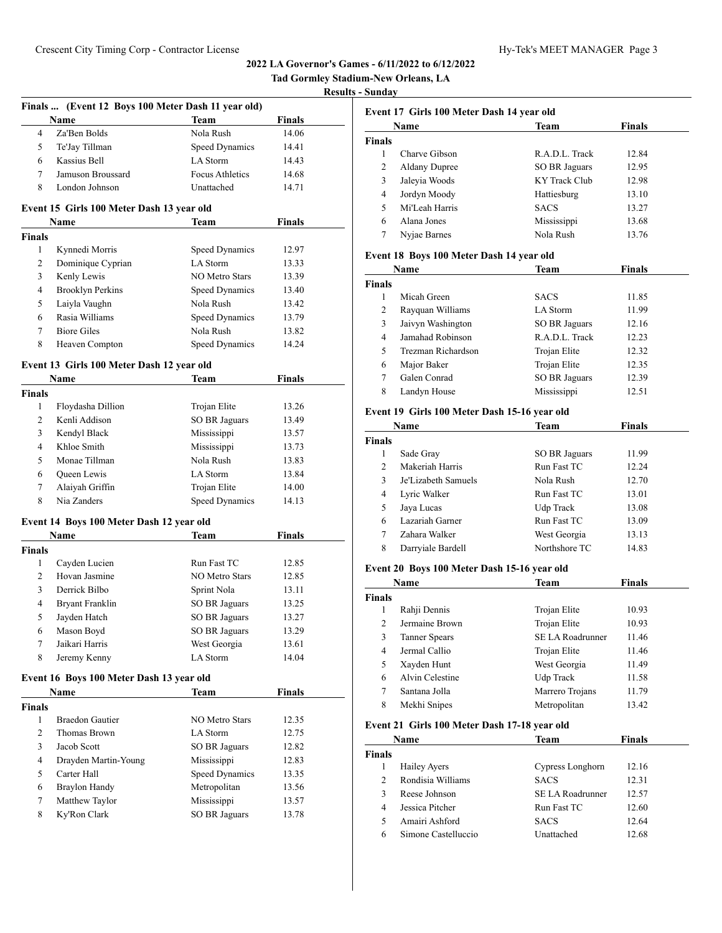|                |                                                    |                       |               | Tad Gormley Stadium-New Orleans, LA |                          |
|----------------|----------------------------------------------------|-----------------------|---------------|-------------------------------------|--------------------------|
|                |                                                    |                       |               | <b>Results - Sunday</b>             |                          |
|                | Finals  (Event 12 Boys 100 Meter Dash 11 year old) |                       |               |                                     | Event 17 Girls 100       |
|                | Name                                               | <b>Team</b>           | <b>Finals</b> |                                     | Name                     |
| $\overline{4}$ | Za'Ben Bolds                                       | Nola Rush             | 14.06         | <b>Finals</b>                       |                          |
| 5              | Te'Jay Tillman                                     | Speed Dynamics        | 14.41         | $\mathbf{1}$                        | Charve Gibso             |
| 6              | Kassius Bell                                       | LA Storm              | 14.43         | 2                                   | <b>Aldany Dupre</b>      |
| 7              | Jamuson Broussard                                  | Focus Athletics       | 14.68         | 3                                   | Jaleyia Woods            |
| 8              | London Johnson                                     | Unattached            | 14.71         | $\overline{4}$                      | Jordyn Mood              |
|                | Event 15 Girls 100 Meter Dash 13 year old          |                       |               | 5                                   | Mi'Leah Harr             |
|                | Name                                               | Team                  | Finals        | 6                                   | Alana Jones              |
| <b>Finals</b>  |                                                    |                       |               | 7                                   | Nyjae Barnes             |
| 1              | Kynnedi Morris                                     | Speed Dynamics        | 12.97         |                                     | <b>Event 18 Boys 100</b> |
| $\overline{2}$ | Dominique Cyprian                                  | LA Storm              | 13.33         |                                     |                          |
| $\overline{3}$ | Kenly Lewis                                        | NO Metro Stars        | 13.39         |                                     | Name                     |
| 4              | <b>Brooklyn Perkins</b>                            | Speed Dynamics        | 13.40         | Finals                              |                          |
| 5              | Laiyla Vaughn                                      | Nola Rush             | 13.42         | $\mathbf{1}$                        | Micah Green              |
| 6              | Rasia Williams                                     | Speed Dynamics        | 13.79         | $\overline{c}$                      | Rayquan Will             |
| $\tau$         | <b>Biore Giles</b>                                 | Nola Rush             | 13.82         | 3                                   | Jaivyn Washir            |
| 8              | Heaven Compton                                     | Speed Dynamics        | 14.24         | 4                                   | Jamahad Rob:             |
|                |                                                    |                       |               | 5                                   | Trezman Rich             |
|                | Event 13 Girls 100 Meter Dash 12 year old          |                       |               | 6                                   | Major Baker              |
|                | Name                                               | Team                  | Finals        | $\tau$                              | Galen Conrad             |
| <b>Finals</b>  |                                                    |                       |               | 8                                   | Landyn House             |
| 1              | Floydasha Dillion                                  | Trojan Elite          | 13.26         |                                     | Event 19 Girls 100       |
| $\overline{2}$ | Kenli Addison                                      | <b>SO BR Jaguars</b>  | 13.49         |                                     | Name                     |
| 3              | Kendyl Black                                       | Mississippi           | 13.57         | Finals                              |                          |
| $\overline{4}$ | Khloe Smith                                        | Mississippi           | 13.73         | $\mathbf{1}$                        | Sade Gray                |
| 5              | Monae Tillman                                      | Nola Rush             | 13.83         | 2                                   | Makeriah Har             |
| 6              | Queen Lewis                                        | LA Storm              | 13.84         | 3                                   | Je'Lizabeth Sa           |
| 7              | Alaiyah Griffin                                    | Trojan Elite          | 14.00         | 4                                   | Lyric Walker             |
| 8              | Nia Zanders                                        | Speed Dynamics        | 14.13         | 5                                   | Jaya Lucas               |
|                | Event 14 Boys 100 Meter Dash 12 year old           |                       |               | 6                                   | Lazariah Garr            |
|                | Name                                               | Team                  | <b>Finals</b> | 7                                   | Zahara Walke             |
| <b>Finals</b>  |                                                    |                       |               | 8                                   | Darryiale Bar            |
| 1              | Cayden Lucien                                      | Run Fast TC           | 12.85         |                                     |                          |
| 2              | Hovan Jasmine                                      | <b>NO Metro Stars</b> | 12.85         |                                     | <b>Event 20 Boys 100</b> |
| 3              | Derrick Bilbo                                      | Sprint Nola           | 13.11         |                                     | Name                     |
| 4              | <b>Bryant Franklin</b>                             | SO BR Jaguars         | 13.25         | Finals                              |                          |
| 5              | Jayden Hatch                                       | SO BR Jaguars         | 13.27         | $\mathbf{1}$                        | Rahji Dennis             |
| 6              | Mason Boyd                                         | <b>SO BR Jaguars</b>  | 13.29         | 2                                   | Jermaine Brov            |
| 7              | Jaikari Harris                                     | West Georgia          | 13.61         | $\mathfrak{Z}$                      | <b>Tanner Spears</b>     |
| 8              | Jeremy Kenny                                       | LA Storm              | 14.04         | $\overline{4}$                      | Jermal Callio            |
|                |                                                    |                       |               | 5                                   | Xayden Hunt              |
|                | Event 16 Boys 100 Meter Dash 13 year old           |                       |               | 6                                   | Alvin Celestin           |
|                | Name                                               | <b>Team</b>           | <b>Finals</b> | 7                                   | Santana Jolla            |
| <b>Finals</b>  |                                                    |                       |               | 8                                   | Mekhi Snipes             |
| $\mathbf{1}$   | <b>Braedon Gautier</b>                             | NO Metro Stars        | 12.35         |                                     | Event 21 Girls 100       |
| $\overline{2}$ | Thomas Brown                                       | LA Storm              | 12.75         |                                     | Name                     |
| 3              | Jacob Scott                                        | <b>SO BR Jaguars</b>  | 12.82         | Finals                              |                          |
| 4              | Drayden Martin-Young                               | Mississippi           | 12.83         | 1                                   | Hailey Ayers             |
| 5              | Carter Hall                                        | Speed Dynamics        | 13.35         | $\overline{c}$                      | Rondisia Will            |
| 6              | Braylon Handy                                      | Metropolitan          | 13.56         | 3                                   | Reese Johnsor            |
| 7              | Matthew Taylor                                     | Mississippi           | 13.57         | $\overline{4}$                      | Jessica Pitche           |
| 8              | Ky'Ron Clark                                       | <b>SO BR Jaguars</b>  | 13.78         | 5                                   | Amairi Ashfo             |
|                |                                                    |                       |               | 6                                   | Simone Caste             |
|                |                                                    |                       |               |                                     |                          |

| Name          |                      | Team                 | <b>Finals</b> |
|---------------|----------------------|----------------------|---------------|
| <b>Finals</b> |                      |                      |               |
|               | Charve Gibson        | R.A.D.L. Track       | 12.84         |
| 2             | <b>Aldany Dupree</b> | <b>SO BR Jaguars</b> | 12.95         |
| 3             | Jaleyia Woods        | KY Track Club        | 12.98         |
| 4             | Jordyn Moody         | Hattiesburg          | 13.10         |
| 5             | Mi'Leah Harris       | <b>SACS</b>          | 13.27         |
| 6             | Alana Jones          | Mississippi          | 13.68         |
| 7             | Nyjae Barnes         | Nola Rush            | 13.76         |

## **Event 18 Boys 100 Meter Dash 14 year old**

| Name   |                    | Team                 | <b>Finals</b> |  |
|--------|--------------------|----------------------|---------------|--|
| Finals |                    |                      |               |  |
|        | Micah Green        | <b>SACS</b>          | 11.85         |  |
| 2      | Rayquan Williams   | LA Storm             | 11.99         |  |
| 3      | Jaivyn Washington  | SO BR Jaguars        | 12.16         |  |
| 4      | Jamahad Robinson   | R.A.D.L. Track       | 12.23         |  |
| 5      | Trezman Richardson | Trojan Elite         | 12.32         |  |
| 6      | Major Baker        | Trojan Elite         | 12.35         |  |
|        | Galen Conrad       | <b>SO BR Jaguars</b> | 12.39         |  |
| 8      | Landyn House       | Mississippi          | 12.51         |  |

## **Event 19 Girls 100 Meter Dash 15-16 year old**

| Name           |                     | Team          | Finals |  |
|----------------|---------------------|---------------|--------|--|
| Finals         |                     |               |        |  |
| 1              | Sade Gray           | SO BR Jaguars | 11.99  |  |
| $\mathfrak{D}$ | Makeriah Harris     | Run Fast TC   | 12.24  |  |
| 3              | Je'Lizabeth Samuels | Nola Rush     | 12.70  |  |
| 4              | Lyric Walker        | Run Fast TC   | 13.01  |  |
| 5              | Jaya Lucas          | Udp Track     | 13.08  |  |
| 6              | Lazariah Garner     | Run Fast TC   | 13.09  |  |
|                | Zahara Walker       | West Georgia  | 13.13  |  |
| 8              | Darryiale Bardell   | Northshore TC | 14.83  |  |

## **Event 20 Boys 100 Meter Dash 15-16 year old**

| Name   |                 | <b>Team</b>      | <b>Finals</b> |  |
|--------|-----------------|------------------|---------------|--|
| Finals |                 |                  |               |  |
|        | Rahji Dennis    | Trojan Elite     | 10.93         |  |
| 2      | Jermaine Brown  | Trojan Elite     | 10.93         |  |
| 3      | Tanner Spears   | SE LA Roadrunner | 11.46         |  |
| 4      | Jermal Callio   | Trojan Elite     | 11.46         |  |
| 5      | Xayden Hunt     | West Georgia     | 11.49         |  |
| 6      | Alvin Celestine | Udp Track        | 11.58         |  |
| 7      | Santana Jolla   | Marrero Trojans  | 11.79         |  |
| 8      | Mekhi Snipes    | Metropolitan     | 13.42         |  |

## **Event 21 Girls 100 Meter Dash 17-18 year old**

| <b>Name</b>   |                     | Team             | <b>Finals</b> |  |
|---------------|---------------------|------------------|---------------|--|
| <b>Finals</b> |                     |                  |               |  |
|               | <b>Hailey Ayers</b> | Cypress Longhorn | 12.16         |  |
| 2             | Rondisia Williams   | <b>SACS</b>      | 12.31         |  |
| ٩             | Reese Johnson       | SE LA Roadrunner | 12.57         |  |
| 4             | Jessica Pitcher     | Run Fast TC      | 12.60         |  |
|               | Amairi Ashford      | <b>SACS</b>      | 12.64         |  |
| 6             | Simone Castelluccio | Unattached       | 12.68         |  |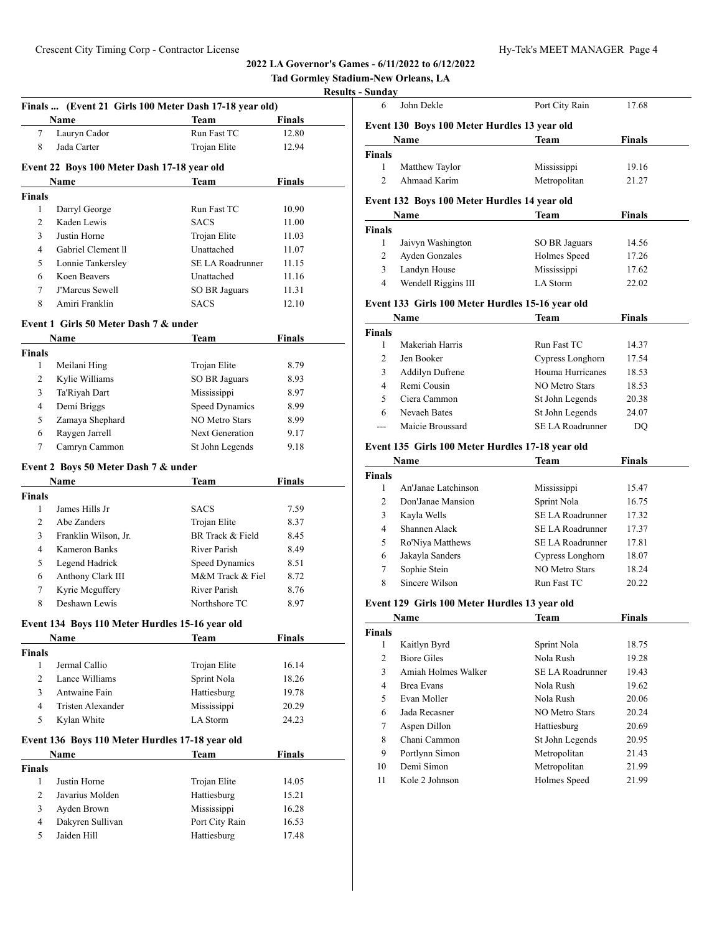| <b>Tad Gormley Stadium-New Orleans, LA</b> |  |  |  |
|--------------------------------------------|--|--|--|
|                                            |  |  |  |

#### **Results - Sunday**

|                | Finals  (Event 21 Girls 100 Meter Dash 17-18 year old) |                         |                 |
|----------------|--------------------------------------------------------|-------------------------|-----------------|
| 7              | <b>Name</b><br>Lauryn Cador                            | Team<br>Run Fast TC     | Finals<br>12.80 |
| 8              | Jada Carter                                            | Trojan Elite            | 12.94           |
|                |                                                        |                         |                 |
|                | Event 22 Boys 100 Meter Dash 17-18 year old            |                         |                 |
|                | Name                                                   | Team                    | <b>Finals</b>   |
| <b>Finals</b>  |                                                        |                         |                 |
| 1              | Darryl George                                          | Run Fast TC             | 10.90           |
| 2              | Kaden Lewis                                            | <b>SACS</b>             | 11.00           |
| 3              | Justin Horne                                           | Trojan Elite            | 11.03           |
| 4              | Gabriel Clement II                                     | Unattached              | 11.07           |
| 5              | Lonnie Tankersley                                      | <b>SE LA Roadrunner</b> | 11.15           |
| 6              | Koen Beavers                                           | Unattached              | 11.16           |
| 7              | <b>J'Marcus Sewell</b>                                 | SO BR Jaguars           | 11.31           |
| 8              | Amiri Franklin                                         | <b>SACS</b>             | 12.10           |
|                | Event 1 Girls 50 Meter Dash 7 & under                  |                         |                 |
|                | Name                                                   | Team                    | Finals          |
| Finals         |                                                        |                         |                 |
| 1              | Meilani Hing                                           | Trojan Elite            | 8.79            |
| 2              | Kylie Williams                                         | SO BR Jaguars           | 8.93            |
| 3              | Ta'Riyah Dart                                          | Mississippi             | 8.97            |
| 4              | Demi Briggs                                            | <b>Speed Dynamics</b>   | 8.99            |
| 5              | Zamaya Shephard                                        | <b>NO Metro Stars</b>   | 8.99            |
| 6              | Raygen Jarrell                                         | <b>Next Generation</b>  | 9.17            |
| 7              | Camryn Cammon                                          | St John Legends         | 9.18            |
|                | Event 2 Boys 50 Meter Dash 7 & under                   |                         |                 |
|                | Name                                                   | Team                    | Finals          |
| <b>Finals</b>  |                                                        |                         |                 |
| 1              | James Hills Jr                                         | <b>SACS</b>             | 7.59            |
| 2              | Abe Zanders                                            | Trojan Elite            | 8.37            |
| 3              | Franklin Wilson, Jr.                                   | BR Track & Field        | 8.45            |
| 4              | <b>Kameron Banks</b>                                   | River Parish            | 8.49            |
| 5              | Legend Hadrick                                         | Speed Dynamics          | 8.51            |
| 6              | Anthony Clark III                                      | M&M Track & Fiel        | 8.72            |
| 7              | Kyrie Mcguffery                                        | River Parish            | 8.76            |
| 8              | Deshawn Lewis                                          | Northshore TC           | 8.97            |
|                | Event 134 Boys 110 Meter Hurdles 15-16 year old        |                         |                 |
|                | Name                                                   | Team                    | Finals          |
| Finals         |                                                        |                         |                 |
| 1              | Jermal Callio                                          | Trojan Elite            | 16.14           |
| $\overline{2}$ | Lance Williams                                         | Sprint Nola             | 18.26           |
| 3              | Antwaine Fain                                          | Hattiesburg             | 19.78           |
| 4              | <b>Tristen Alexander</b>                               | Mississippi             | 20.29           |
| 5              | Kylan White                                            | LA Storm                | 24.23           |
|                | Event 136 Boys 110 Meter Hurdles 17-18 year old        |                         |                 |
|                | Name                                                   | <b>Team</b>             | Finals          |
| <b>Finals</b>  |                                                        |                         |                 |
| 1              | Justin Horne                                           | Trojan Elite            | 14.05           |
| 2              | Javarius Molden                                        | Hattiesburg             | 15.21           |
| 3              | Ayden Brown                                            | Mississippi             | 16.28           |
| $\overline{4}$ | Dakyren Sullivan                                       | Port City Rain          | 16.53           |
|                |                                                        |                         |                 |

| <b>Sunday</b>  |                                                  |                         |               |  |
|----------------|--------------------------------------------------|-------------------------|---------------|--|
| 6              | John Dekle                                       | Port City Rain          | 17.68         |  |
|                | Event 130 Boys 100 Meter Hurdles 13 year old     |                         |               |  |
|                | Name                                             | Team                    | Finals        |  |
| Finals         |                                                  |                         |               |  |
| 1              | Matthew Taylor                                   | Mississippi             | 19.16         |  |
| $\overline{c}$ | Ahmaad Karim                                     | Metropolitan            | 21.27         |  |
|                | Event 132 Boys 100 Meter Hurdles 14 year old     |                         |               |  |
|                | Name                                             | Team                    | <b>Finals</b> |  |
| <b>Finals</b>  |                                                  |                         |               |  |
| 1              | Jaivyn Washington                                | SO BR Jaguars           | 14.56         |  |
| 2              | <b>Ayden Gonzales</b>                            | Holmes Speed            | 17.26         |  |
| 3              | Landyn House                                     | Mississippi             | 17.62         |  |
| 4              | Wendell Riggins III                              | LA Storm                | 22.02         |  |
|                | Event 133 Girls 100 Meter Hurdles 15-16 year old |                         |               |  |
|                | Name                                             | Team                    | <b>Finals</b> |  |
| <b>Finals</b>  |                                                  |                         |               |  |
| 1              | Makeriah Harris                                  | Run Fast TC             | 14.37         |  |
| 2              | Jen Booker                                       | Cypress Longhorn        | 17.54         |  |
| 3              | <b>Addilyn Dufrene</b>                           | Houma Hurricanes        | 18.53         |  |
| 4              | Remi Cousin                                      | <b>NO Metro Stars</b>   | 18.53         |  |
| 5              | Ciera Cammon                                     | St John Legends         | 20.38         |  |
| 6              | Nevaeh Bates                                     | St John Legends         | 24.07         |  |
| $\sim$         | Maicie Broussard                                 | <b>SE LA Roadrunner</b> | DQ            |  |
|                |                                                  |                         |               |  |
|                | Event 135 Girls 100 Meter Hurdles 17-18 year old |                         |               |  |
|                | Name                                             | Team                    | Finals        |  |
| <b>Finals</b>  |                                                  |                         |               |  |
| 1              | An'Janae Latchinson                              | Mississippi             | 15.47         |  |
| 2              | Don'Janae Mansion                                | Sprint Nola             | 16.75         |  |
| 3              | Kayla Wells                                      | <b>SE LA Roadrunner</b> | 17.32         |  |
| 4              | Shannen Alack                                    | <b>SE LA Roadrunner</b> | 17.37         |  |
| 5              | Ro'Niya Matthews                                 | SE LA Roadrunner        | 17.81         |  |
| 6              | Jakayla Sanders                                  | Cypress Longhorn        | 18.07         |  |
| 7              | Sophie Stein                                     | <b>NO Metro Stars</b>   | 18.24         |  |
| 8              | Sincere Wilson                                   | Run Fast TC             | 20.22         |  |
|                | Event 129 Girls 100 Meter Hurdles 13 year old    |                         |               |  |
|                | <b>Name</b>                                      | Team                    | <u>Finals</u> |  |
| <b>Finals</b>  |                                                  |                         |               |  |
| 1              | Kaitlyn Byrd                                     | Sprint Nola             | 18.75         |  |
| $\overline{2}$ | <b>Biore Giles</b>                               | Nola Rush               | 19.28         |  |
| 3              | Amiah Holmes Walker                              | SE LA Roadrunner        | 19.43         |  |
| 4              | Brea Evans                                       | Nola Rush               | 19.62         |  |
| 5              | Evan Moller                                      | Nola Rush               | 20.06         |  |
|                |                                                  |                         |               |  |
| 6              | Jada Recasner                                    | NO Metro Stars          | 20.24         |  |
| 7              | Aspen Dillon                                     | Hattiesburg             | 20.69         |  |
| 8              | Chani Cammon                                     | St John Legends         | 20.95         |  |
| 9              | Portlynn Simon                                   | Metropolitan            | 21.43         |  |
| 10             | Demi Simon                                       | Metropolitan            | 21.99         |  |
| 11             | Kole 2 Johnson                                   | Holmes Speed            | 21.99         |  |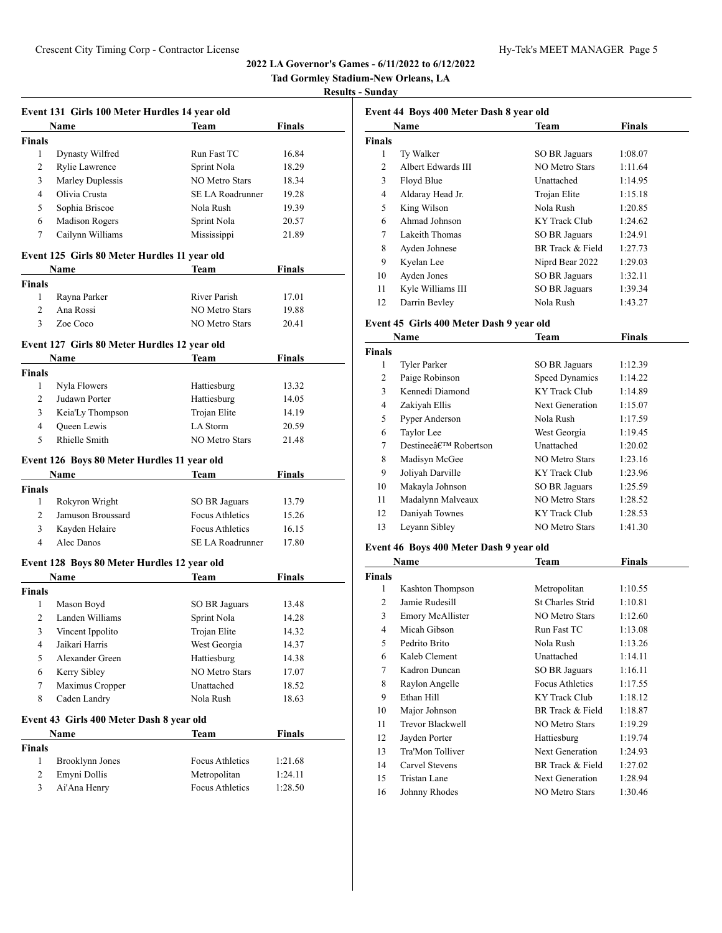# **Tad Gormley Stadium-New Orleans, LA**

## **Results - Sunday**

|                | Event 131 Girls 100 Meter Hurdles 14 year old |                         |               |
|----------------|-----------------------------------------------|-------------------------|---------------|
|                | Name                                          | Team                    | <b>Finals</b> |
| <b>Finals</b>  |                                               |                         |               |
| 1              | Dynasty Wilfred                               | Run Fast TC             | 16.84         |
| $\overline{2}$ | Rylie Lawrence                                | Sprint Nola             | 18.29         |
| 3              | Marley Duplessis                              | NO Metro Stars          | 18.34         |
| 4              | Olivia Crusta                                 | <b>SE LA Roadrunner</b> | 19.28         |
| 5              | Sophia Briscoe                                | Nola Rush               | 19.39         |
| 6              | <b>Madison Rogers</b>                         | Sprint Nola             | 20.57         |
| 7              | Cailynn Williams                              | Mississippi             | 21.89         |
|                | Event 125 Girls 80 Meter Hurdles 11 year old  |                         |               |
|                | Name                                          | Team                    | Finals        |
| <b>Finals</b>  |                                               |                         |               |
| $\mathbf{1}$   | Rayna Parker                                  | River Parish            | 17.01         |
| $\overline{c}$ | Ana Rossi                                     | <b>NO Metro Stars</b>   | 19.88         |
| 3              | Zoe Coco                                      | <b>NO Metro Stars</b>   | 20.41         |
|                | Event 127 Girls 80 Meter Hurdles 12 year old  |                         |               |
|                | <b>Name</b>                                   | Team                    | <b>Finals</b> |
| Finals         |                                               |                         |               |
| 1              | Nyla Flowers                                  | Hattiesburg             | 13.32         |
| 2              | Judawn Porter                                 | Hattiesburg             | 14.05         |
| 3              | Keia'Ly Thompson                              | Trojan Elite            | 14.19         |
| $\overline{4}$ | <b>Oueen</b> Lewis                            | LA Storm                | 20.59         |
| 5              | Rhielle Smith                                 | <b>NO Metro Stars</b>   | 21.48         |
|                | Event 126 Boys 80 Meter Hurdles 11 year old   |                         |               |
|                | Name                                          | Team                    | Finals        |
| <b>Finals</b>  |                                               |                         |               |
| 1              | Rokyron Wright                                | SO BR Jaguars           | 13.79         |
| $\overline{c}$ | Jamuson Broussard                             | Focus Athletics         | 15.26         |
| 3              | Kayden Helaire                                | Focus Athletics         | 16.15         |
| $\overline{4}$ | Alec Danos                                    | SE LA Roadrunner        | 17.80         |
|                | Event 128 Boys 80 Meter Hurdles 12 year old   |                         |               |
|                | Name                                          | Team                    | Finals        |
| <b>Finals</b>  |                                               |                         |               |
| 1              | Mason Boyd                                    | SO BR Jaguars           | 13.48         |
| 2              | Landen Williams                               | Sprint Nola             | 14.28         |
| 3              | Vincent Ippolito                              | Trojan Elite            | 14.32         |
| 4              | Jaikari Harris                                | West Georgia            | 14.37         |
| 5              | Alexander Green                               | Hattiesburg             | 14.38         |
| 6              | Kerry Sibley                                  | NO Metro Stars          | 17.07         |
| 7              | Maximus Cropper                               | Unattached              | 18.52         |
| 8              | Caden Landry                                  | Nola Rush               | 18.63         |
|                | Event 43 Girls 400 Meter Dash 8 year old      |                         |               |
|                | Name                                          | Team                    | <b>Finals</b> |
| <b>Finals</b>  |                                               |                         |               |
| 1              | Brooklynn Jones                               | Focus Athletics         | 1:21.68       |
| 2              | Emyni Dollis                                  | Metropolitan            | 1:24.11       |
| 3              | Ai'Ana Henry                                  | Focus Athletics         | 1:28.50       |

|               | <b>Name</b>        | Team                 | <b>Finals</b> |
|---------------|--------------------|----------------------|---------------|
| <b>Finals</b> |                    |                      |               |
| 1             | Ty Walker          | <b>SO BR Jaguars</b> | 1:08.07       |
| 2             | Albert Edwards III | NO Metro Stars       | 1:11.64       |
| 3             | Floyd Blue         | Unattached           | 1:14.95       |
| 4             | Aldaray Head Jr.   | Trojan Elite         | 1:15.18       |
| 5             | King Wilson        | Nola Rush            | 1:20.85       |
| 6             | Ahmad Johnson      | KY Track Club        | 1:24.62       |
| 7             | Lakeith Thomas     | <b>SO BR Jaguars</b> | 1:24.91       |
| 8             | Ayden Johnese      | BR Track & Field     | 1:27.73       |
| 9             | Kyelan Lee         | Niprd Bear 2022      | 1:29.03       |
| 10            | Ayden Jones        | <b>SO BR Jaguars</b> | 1:32.11       |
| 11            | Kyle Williams III  | SO BR Jaguars        | 1:39.34       |
| 12            | Darrin Bevley      | Nola Rush            | 1:43.27       |

# **Event 45 Girls 400 Meter Dash 9 year old**

|               | Name                               | <b>Team</b>           | <b>Finals</b> |  |
|---------------|------------------------------------|-----------------------|---------------|--|
| <b>Finals</b> |                                    |                       |               |  |
| 1             | <b>Tyler Parker</b>                | SO BR Jaguars         | 1:12.39       |  |
| 2             | Paige Robinson                     | <b>Speed Dynamics</b> | 1:14.22       |  |
| 3             | Kennedi Diamond                    | KY Track Club         | 1:14.89       |  |
| 4             | Zakiyah Ellis                      | Next Generation       | 1:15.07       |  |
| 5             | Pyper Anderson                     | Nola Rush             | 1:17.59       |  |
| 6             | Taylor Lee                         | West Georgia          | 1:19.45       |  |
| 7             | Destineeâ€ <sup>TM</sup> Robertson | Unattached            | 1:20.02       |  |
| 8             | Madisyn McGee                      | NO Metro Stars        | 1:23.16       |  |
| 9             | Joliyah Darville                   | KY Track Club         | 1:23.96       |  |
| 10            | Makayla Johnson                    | SO BR Jaguars         | 1:25.59       |  |
| 11            | Madalynn Malveaux                  | NO Metro Stars        | 1:28.52       |  |
| 12            | Daniyah Townes                     | KY Track Club         | 1:28.53       |  |
| 13            | Leyann Sibley                      | <b>NO Metro Stars</b> | 1:41.30       |  |
|               |                                    |                       |               |  |

## **Event 46 Boys 400 Meter Dash 9 year old**

|               | Name                    | Team                    | Finals  |
|---------------|-------------------------|-------------------------|---------|
| <b>Finals</b> |                         |                         |         |
| 1             | Kashton Thompson        | Metropolitan            | 1:10.55 |
| 2             | Jamie Rudesill          | <b>St Charles Strid</b> | 1:10.81 |
| 3             | <b>Emory McAllister</b> | NO Metro Stars          | 1:12.60 |
| 4             | Micah Gibson            | Run Fast TC             | 1:13.08 |
| 5             | Pedrito Brito           | Nola Rush               | 1:13.26 |
| 6             | Kaleb Clement           | Unattached              | 1:14.11 |
| 7             | Kadron Duncan           | SO BR Jaguars           | 1:16.11 |
| 8             | Raylon Angelle          | <b>Focus Athletics</b>  | 1:17.55 |
| 9             | Ethan Hill              | KY Track Club           | 1:18.12 |
| 10            | Major Johnson           | BR Track & Field        | 1:18.87 |
| 11            | Trevor Blackwell        | NO Metro Stars          | 1:19.29 |
| 12            | Jayden Porter           | Hattiesburg             | 1:19.74 |
| 13            | Tra'Mon Tolliver        | Next Generation         | 1:24.93 |
| 14            | Carvel Stevens          | BR Track & Field        | 1:27.02 |
| 15            | Tristan Lane            | Next Generation         | 1:28.94 |
| 16            | Johnny Rhodes           | NO Metro Stars          | 1:30.46 |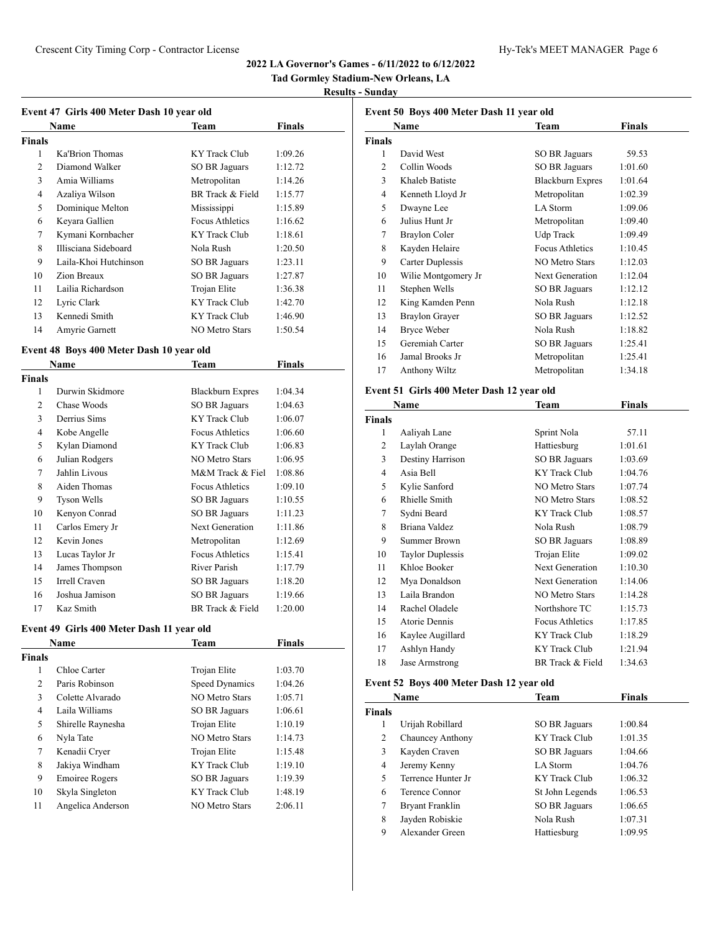# **Tad Gormley Stadium-New Orleans, LA**

#### **Results - Sunday**

| Event 47 Girls 400 Meter Dash 10 year old |  |  |  |
|-------------------------------------------|--|--|--|

|               | Name                  | $\tilde{\phantom{a}}$<br>Team | <b>Finals</b> |
|---------------|-----------------------|-------------------------------|---------------|
| <b>Finals</b> |                       |                               |               |
| 1             | Ka'Brion Thomas       | KY Track Club                 | 1:09.26       |
| 2             | Diamond Walker        | <b>SO BR Jaguars</b>          | 1:12.72       |
| 3             | Amia Williams         | Metropolitan                  | 1:14.26       |
| 4             | Azaliya Wilson        | BR Track & Field              | 1:15.77       |
| 5             | Dominique Melton      | Mississippi                   | 1:15.89       |
| 6             | Keyara Gallien        | Focus Athletics               | 1:16.62       |
| 7             | Kymani Kornbacher     | KY Track Club                 | 1:18.61       |
| 8             | Illisciana Sideboard  | Nola Rush                     | 1:20.50       |
| 9             | Laila-Khoi Hutchinson | SO BR Jaguars                 | 1:23.11       |
| 10            | Zion Breaux           | SO BR Jaguars                 | 1:27.87       |
| 11            | Lailia Richardson     | Trojan Elite                  | 1:36.38       |
| 12            | Lyric Clark           | KY Track Club                 | 1:42.70       |
| 13            | Kennedi Smith         | KY Track Club                 | 1:46.90       |
| 14            | Amyrie Garnett        | NO Metro Stars                | 1:50.54       |

# **Event 48 Boys 400 Meter Dash 10 year old**

|                | Name               | Team                    | Finals  |
|----------------|--------------------|-------------------------|---------|
| Finals         |                    |                         |         |
| 1              | Durwin Skidmore    | <b>Blackburn Expres</b> | 1:04.34 |
| $\overline{2}$ | Chase Woods        | <b>SO BR Jaguars</b>    | 1:04.63 |
| 3              | Derrius Sims       | <b>KY</b> Track Club    | 1:06.07 |
| 4              | Kobe Angelle       | Focus Athletics         | 1:06.60 |
| 5              | Kylan Diamond      | KY Track Club           | 1:06.83 |
| 6              | Julian Rodgers     | NO Metro Stars          | 1:06.95 |
| 7              | Jahlin Livous      | M&M Track & Fiel        | 1:08.86 |
| 8              | Aiden Thomas       | Focus Athletics         | 1:09.10 |
| 9              | <b>Tyson Wells</b> | SO BR Jaguars           | 1:10.55 |
| 10             | Kenyon Conrad      | SO BR Jaguars           | 1:11.23 |
| 11             | Carlos Emery Jr    | <b>Next Generation</b>  | 1:11.86 |
| 12             | Kevin Jones        | Metropolitan            | 1:12.69 |
| 13             | Lucas Taylor Jr    | <b>Focus Athletics</b>  | 1:15.41 |
| 14             | James Thompson     | River Parish            | 1:17.79 |
| 15             | Irrell Craven      | SO BR Jaguars           | 1:18.20 |
| 16             | Joshua Jamison     | SO BR Jaguars           | 1:19.66 |
| 17             | Kaz Smith          | BR Track & Field        | 1:20.00 |

# **Event 49 Girls 400 Meter Dash 11 year old**

|               | <b>Name</b>           | <b>Team</b>    | <b>Finals</b> |  |
|---------------|-----------------------|----------------|---------------|--|
| <b>Finals</b> |                       |                |               |  |
| 1             | Chloe Carter          | Trojan Elite   | 1:03.70       |  |
| 2             | Paris Robinson        | Speed Dynamics | 1:04.26       |  |
| 3             | Colette Alvarado      | NO Metro Stars | 1:05.71       |  |
| 4             | Laila Williams        | SO BR Jaguars  | 1:06.61       |  |
| 5             | Shirelle Raynesha     | Trojan Elite   | 1:10.19       |  |
| 6             | Nyla Tate             | NO Metro Stars | 1:14.73       |  |
| 7             | Kenadii Cryer         | Trojan Elite   | 1:15.48       |  |
| 8             | Jakiya Windham        | KY Track Club  | 1:19.10       |  |
| 9             | <b>Emoiree Rogers</b> | SO BR Jaguars  | 1:19.39       |  |
| 10            | Skyla Singleton       | KY Track Club  | 1:48.19       |  |
| 11            | Angelica Anderson     | NO Metro Stars | 2:06.11       |  |

| Event 50 Boys 400 Meter Dash 11 year old |                       |                         |         |  |
|------------------------------------------|-----------------------|-------------------------|---------|--|
|                                          | Name                  | <b>Finals</b><br>Team   |         |  |
| Finals                                   |                       |                         |         |  |
| 1                                        | David West            | SO BR Jaguars           | 59.53   |  |
| 2                                        | Collin Woods          | <b>SO BR Jaguars</b>    | 1:01.60 |  |
| 3                                        | Khaleb Batiste        | <b>Blackburn Expres</b> | 1:01.64 |  |
| 4                                        | Kenneth Lloyd Jr      | Metropolitan            | 1:02.39 |  |
| 5                                        | Dwayne Lee            | LA Storm                | 1:09.06 |  |
| 6                                        | Julius Hunt Jr        | Metropolitan            | 1:09.40 |  |
| 7                                        | <b>Braylon Coler</b>  | Udp Track               | 1:09.49 |  |
| 8                                        | Kayden Helaire        | <b>Focus Athletics</b>  | 1:10.45 |  |
| 9                                        | Carter Duplessis      | <b>NO Metro Stars</b>   | 1:12.03 |  |
| 10                                       | Wilie Montgomery Jr   | Next Generation         | 1:12.04 |  |
| 11                                       | Stephen Wells         | SO BR Jaguars           | 1:12.12 |  |
| 12                                       | King Kamden Penn      | Nola Rush               | 1:12.18 |  |
| 13                                       | <b>Braylon Grayer</b> | SO BR Jaguars           | 1:12.52 |  |
| 14                                       | Bryce Weber           | Nola Rush               | 1:18.82 |  |
| 15                                       | Geremiah Carter       | SO BR Jaguars           | 1:25.41 |  |
| 16                                       | Jamal Brooks Jr       | Metropolitan            | 1:25.41 |  |
| 17                                       | Anthony Wiltz         | Metropolitan            | 1:34.18 |  |
|                                          |                       |                         |         |  |

# **Event 51 Girls 400 Meter Dash 12 year old**

|        | Name                    | Team                  | Finals  |  |
|--------|-------------------------|-----------------------|---------|--|
| Finals |                         |                       |         |  |
| 1      | Aaliyah Lane            | Sprint Nola           | 57.11   |  |
| 2      | Laylah Orange           | Hattiesburg           | 1:01.61 |  |
| 3      | Destiny Harrison        | SO BR Jaguars         | 1:03.69 |  |
| 4      | Asia Bell               | KY Track Club         | 1:04.76 |  |
| 5      | Kylie Sanford           | NO Metro Stars        | 1:07.74 |  |
| 6      | Rhielle Smith           | <b>NO Metro Stars</b> | 1:08.52 |  |
| 7      | Sydni Beard             | KY Track Club         | 1:08.57 |  |
| 8      | Briana Valdez           | Nola Rush             | 1:08.79 |  |
| 9      | Summer Brown            | SO BR Jaguars         | 1:08.89 |  |
| 10     | <b>Taylor Duplessis</b> | Trojan Elite          | 1:09.02 |  |
| 11     | Khloe Booker            | Next Generation       | 1:10.30 |  |
| 12     | Mya Donaldson           | Next Generation       | 1:14.06 |  |
| 13     | Laila Brandon           | <b>NO Metro Stars</b> | 1:14.28 |  |
| 14     | Rachel Oladele          | Northshore TC         | 1:15.73 |  |
| 15     | Atorie Dennis           | Focus Athletics       | 1:17.85 |  |
| 16     | Kaylee Augillard        | KY Track Club         | 1:18.29 |  |
| 17     | Ashlyn Handy            | KY Track Club         | 1:21.94 |  |
| 18     | Jase Armstrong          | BR Track & Field      | 1:34.63 |  |

# **Event 52 Boys 400 Meter Dash 12 year old**

|               | Name               | Team            | <b>Finals</b> |  |
|---------------|--------------------|-----------------|---------------|--|
| <b>Finals</b> |                    |                 |               |  |
| 1             | Urijah Robillard   | SO BR Jaguars   | 1:00.84       |  |
| 2             | Chauncey Anthony   | KY Track Club   | 1:01.35       |  |
| 3             | Kayden Craven      | SO BR Jaguars   | 1:04.66       |  |
| 4             | Jeremy Kenny       | LA Storm        | 1:04.76       |  |
| 5             | Terrence Hunter Jr | KY Track Club   | 1:06.32       |  |
| 6             | Terence Connor     | St John Legends | 1:06.53       |  |
| 7             | Bryant Franklin    | SO BR Jaguars   | 1:06.65       |  |
| 8             | Jayden Robiskie    | Nola Rush       | 1:07.31       |  |
| 9             | Alexander Green    | Hattiesburg     | 1:09.95       |  |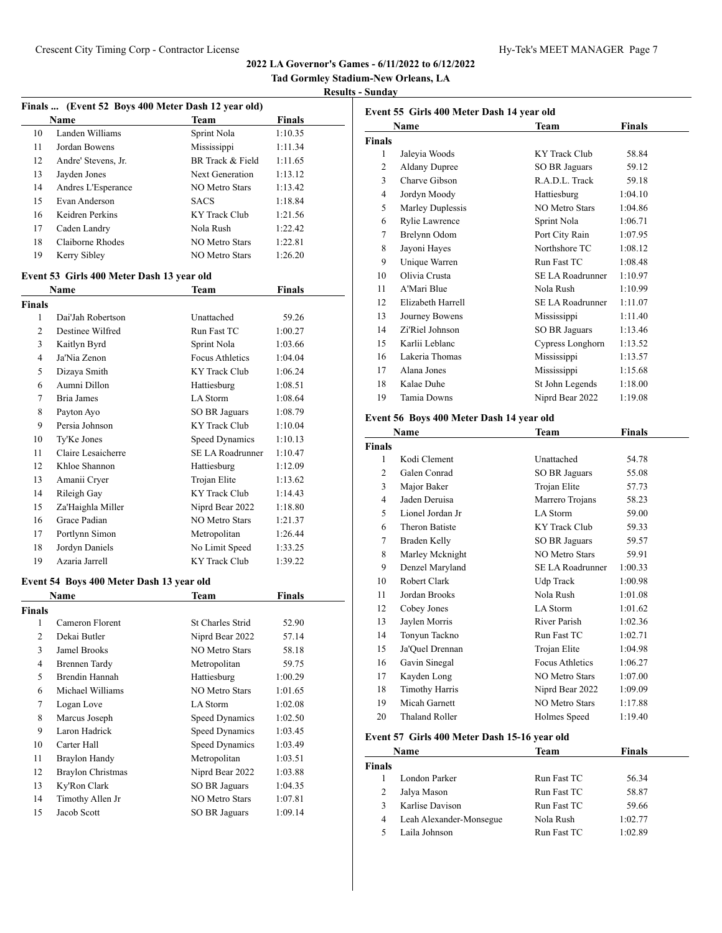**Tad Gormley Stadium-New Orleans, LA Results - Sunday**

|               |                                           | Finals  (Event 52 Boys 400 Meter Dash 12 year old) |               |
|---------------|-------------------------------------------|----------------------------------------------------|---------------|
|               | <b>Name</b>                               | <b>Team</b>                                        | <b>Finals</b> |
| 10            | Landen Williams                           | Sprint Nola                                        | 1:10.35       |
| 11            | Jordan Bowens                             | Mississippi                                        | 1:11.34       |
| 12            | Andre' Stevens, Jr.                       | BR Track & Field                                   | 1:11.65       |
| 13            | Jayden Jones                              | Next Generation                                    | 1:13.12       |
| 14            | Andres L'Esperance                        | <b>NO Metro Stars</b>                              | 1:13.42       |
| 15            | Evan Anderson                             | <b>SACS</b>                                        | 1:18.84       |
| 16            | Keidren Perkins                           | <b>KY Track Club</b>                               | 1:21.56       |
| 17            | Caden Landry                              | Nola Rush                                          | 1:22.42       |
| 18            | Claiborne Rhodes                          | <b>NO Metro Stars</b>                              | 1:22.81       |
| 19            | Kerry Sibley                              | <b>NO Metro Stars</b>                              | 1:26.20       |
|               | Event 53 Girls 400 Meter Dash 13 year old |                                                    |               |
|               | Name                                      | Team                                               | Finals        |
| <b>Finals</b> |                                           |                                                    |               |
| 1             | Dai'Jah Robertson                         | Unattached                                         | 59.26         |
| 2             | Destinee Wilfred                          | Run Fast TC                                        | 1:00.27       |
| 3             | Kaitlyn Byrd                              | Sprint Nola                                        | 1:03.66       |
| 4             | Ja'Nia Zenon                              | Focus Athletics                                    | 1:04.04       |
| 5             | Dizaya Smith                              | <b>KY Track Club</b>                               | 1:06.24       |
| 6             | Aumni Dillon                              | Hattiesburg                                        | 1:08.51       |
| 7             | Bria James                                | LA Storm                                           | 1:08.64       |
| 8             | Payton Ayo                                | <b>SO BR Jaguars</b>                               | 1:08.79       |
| 9             | Persia Johnson                            | KY Track Club                                      | 1:10.04       |
| 10            | Ty'Ke Jones                               | Speed Dynamics                                     | 1:10.13       |
| 11            | Claire Lesaicherre                        | <b>SE LA Roadrunner</b>                            | 1:10.47       |
| 12            | Khloe Shannon                             | Hattiesburg                                        | 1:12.09       |
| 13            | Amanii Cryer                              | Trojan Elite                                       | 1:13.62       |
| 14            | Rileigh Gay                               | <b>KY Track Club</b>                               | 1:14.43       |
| 15            | Za'Haighla Miller                         | Niprd Bear 2022                                    | 1:18.80       |
| 16            | Grace Padian                              | <b>NO Metro Stars</b>                              | 1:21.37       |
| 17            | Portlynn Simon                            | Metropolitan                                       | 1:26.44       |
| 18            | Jordyn Daniels                            | No Limit Speed                                     | 1:33.25       |
| 19            | Azaria Jarrell                            | <b>KY Track Club</b>                               | 1:39.22       |
|               | Event 54 Boys 400 Meter Dash 13 year old  |                                                    |               |
|               | <b>Name</b>                               | Team                                               | <b>Finals</b> |
| Finals        |                                           |                                                    |               |
| 1             | Cameron Florent                           | St Charles Strid                                   | 52.90         |
| 2             | Dekai Butler                              | Niprd Bear 2022                                    | 57.14         |
| 3             | Jamel Brooks                              | NO Metro Stars                                     | 58.18         |
| 4             | <b>Brennen Tardy</b>                      | Metropolitan                                       | 59.75         |
| 5             | Brendin Hannah                            | Hattiesburg                                        | 1:00.29       |
| 6             | Michael Williams                          | NO Metro Stars                                     | 1:01.65       |
| 7             | Logan Love                                | LA Storm                                           | 1:02.08       |
| 8             | Marcus Joseph                             | Speed Dynamics                                     | 1:02.50       |
| 9             | Laron Hadrick                             | Speed Dynamics                                     | 1:03.45       |
| 10            | Carter Hall                               | Speed Dynamics                                     | 1:03.49       |
| 11            | <b>Braylon Handy</b>                      | Metropolitan                                       | 1:03.51       |
| 12            | <b>Braylon Christmas</b>                  | Niprd Bear 2022                                    | 1:03.88       |
| 13            | Ky'Ron Clark                              | SO BR Jaguars                                      | 1:04.35       |
| 14            | Timothy Allen Jr                          | NO Metro Stars                                     | 1:07.81       |
| 15            | Jacob Scott                               | SO BR Jaguars                                      | 1:09.14       |
|               |                                           |                                                    |               |

| Finals<br>Name<br>Team<br>Finals<br>1<br>Jaleyia Woods<br>KY Track Club<br>58.84<br>$\overline{c}$<br><b>Aldany Dupree</b><br><b>SO BR Jaguars</b><br>59.12<br>3<br>Charve Gibson<br>R.A.D.L. Track<br>59.18<br>1:04.10<br>4<br>Jordyn Moody<br>Hattiesburg<br>5<br>Marley Duplessis<br><b>NO Metro Stars</b><br>1:04.86<br>Rylie Lawrence<br>1:06.71<br>6<br>Sprint Nola | Event 55 Girls 400 Meter Dash 14 year old |  |  |  |
|---------------------------------------------------------------------------------------------------------------------------------------------------------------------------------------------------------------------------------------------------------------------------------------------------------------------------------------------------------------------------|-------------------------------------------|--|--|--|
|                                                                                                                                                                                                                                                                                                                                                                           |                                           |  |  |  |
|                                                                                                                                                                                                                                                                                                                                                                           |                                           |  |  |  |
|                                                                                                                                                                                                                                                                                                                                                                           |                                           |  |  |  |
|                                                                                                                                                                                                                                                                                                                                                                           |                                           |  |  |  |
|                                                                                                                                                                                                                                                                                                                                                                           |                                           |  |  |  |
|                                                                                                                                                                                                                                                                                                                                                                           |                                           |  |  |  |
|                                                                                                                                                                                                                                                                                                                                                                           |                                           |  |  |  |
|                                                                                                                                                                                                                                                                                                                                                                           |                                           |  |  |  |
| 7<br>Brelynn Odom<br>Port City Rain<br>1:07.95                                                                                                                                                                                                                                                                                                                            |                                           |  |  |  |
| Jayoni Hayes<br>Northshore TC<br>8<br>1:08.12                                                                                                                                                                                                                                                                                                                             |                                           |  |  |  |
| 9<br>Unique Warren<br>Run Fast TC<br>1:08.48                                                                                                                                                                                                                                                                                                                              |                                           |  |  |  |
| 10<br>Olivia Crusta<br>1:10.97<br>SE LA Roadrunner                                                                                                                                                                                                                                                                                                                        |                                           |  |  |  |
| A'Mari Blue<br>1:10.99<br>11<br>Nola Rush                                                                                                                                                                                                                                                                                                                                 |                                           |  |  |  |
| Elizabeth Harrell<br><b>SE LA Roadrunner</b><br>12<br>1:11.07                                                                                                                                                                                                                                                                                                             |                                           |  |  |  |
| 13<br>Journey Bowens<br>1:11.40<br>Mississippi                                                                                                                                                                                                                                                                                                                            |                                           |  |  |  |
| 14<br>Zi'Riel Johnson<br><b>SO BR Jaguars</b><br>1:13.46                                                                                                                                                                                                                                                                                                                  |                                           |  |  |  |
| Karlii Leblanc<br>15<br>Cypress Longhorn<br>1:13.52                                                                                                                                                                                                                                                                                                                       |                                           |  |  |  |
| Lakeria Thomas<br>16<br>Mississippi<br>1:13.57                                                                                                                                                                                                                                                                                                                            |                                           |  |  |  |
| 17<br>Alana Jones<br>Mississippi<br>1:15.68                                                                                                                                                                                                                                                                                                                               |                                           |  |  |  |
| 18<br>Kalae Duhe<br>St John Legends<br>1:18.00                                                                                                                                                                                                                                                                                                                            |                                           |  |  |  |
| Tamia Downs<br>Niprd Bear 2022<br>19<br>1:19.08                                                                                                                                                                                                                                                                                                                           |                                           |  |  |  |

## **Event 56 Boys 400 Meter Dash 14 year old**

| Name          |                       | Team                   | Finals  |
|---------------|-----------------------|------------------------|---------|
| <b>Finals</b> |                       |                        |         |
| 1             | Kodi Clement          | Unattached             | 54.78   |
| 2             | Galen Conrad          | SO BR Jaguars          | 55.08   |
| 3             | Major Baker           | Trojan Elite           | 57.73   |
| 4             | Jaden Deruisa         | Marrero Trojans        | 58.23   |
| 5             | Lionel Jordan Jr      | LA Storm               | 59.00   |
| 6             | <b>Theron Batiste</b> | <b>KY</b> Track Club   | 59.33   |
| 7             | Braden Kelly          | SO BR Jaguars          | 59.57   |
| 8             | Marley Mcknight       | <b>NO Metro Stars</b>  | 59.91   |
| 9             | Denzel Maryland       | SE LA Roadrunner       | 1:00.33 |
| 10            | Robert Clark          | Udp Track              | 1:00.98 |
| 11            | Jordan Brooks         | Nola Rush              | 1:01.08 |
| 12            | Cobey Jones           | LA Storm               | 1:01.62 |
| 13            | Jaylen Morris         | River Parish           | 1:02.36 |
| 14            | Tonyun Tackno         | Run Fast TC            | 1:02.71 |
| 15            | Ja'Quel Drennan       | Trojan Elite           | 1:04.98 |
| 16            | Gavin Sinegal         | <b>Focus Athletics</b> | 1:06.27 |
| 17            | Kayden Long           | <b>NO Metro Stars</b>  | 1:07.00 |
| 18            | <b>Timothy Harris</b> | Niprd Bear 2022        | 1:09.09 |
| 19            | Micah Garnett         | <b>NO Metro Stars</b>  | 1:17.88 |
| 20            | <b>Thaland Roller</b> | Holmes Speed           | 1:19.40 |
|               |                       |                        |         |

# **Event 57 Girls 400 Meter Dash 15-16 year old**

|               | Name                    | Team        | <b>Finals</b> |  |
|---------------|-------------------------|-------------|---------------|--|
| <b>Finals</b> |                         |             |               |  |
|               | London Parker           | Run Fast TC | 56.34         |  |
| 2             | Jalya Mason             | Run Fast TC | 58.87         |  |
| 3             | Karlise Davison         | Run Fast TC | 59.66         |  |
| 4             | Leah Alexander-Monsegue | Nola Rush   | 1:02.77       |  |
|               | Laila Johnson           | Run Fast TC | 1:02.89       |  |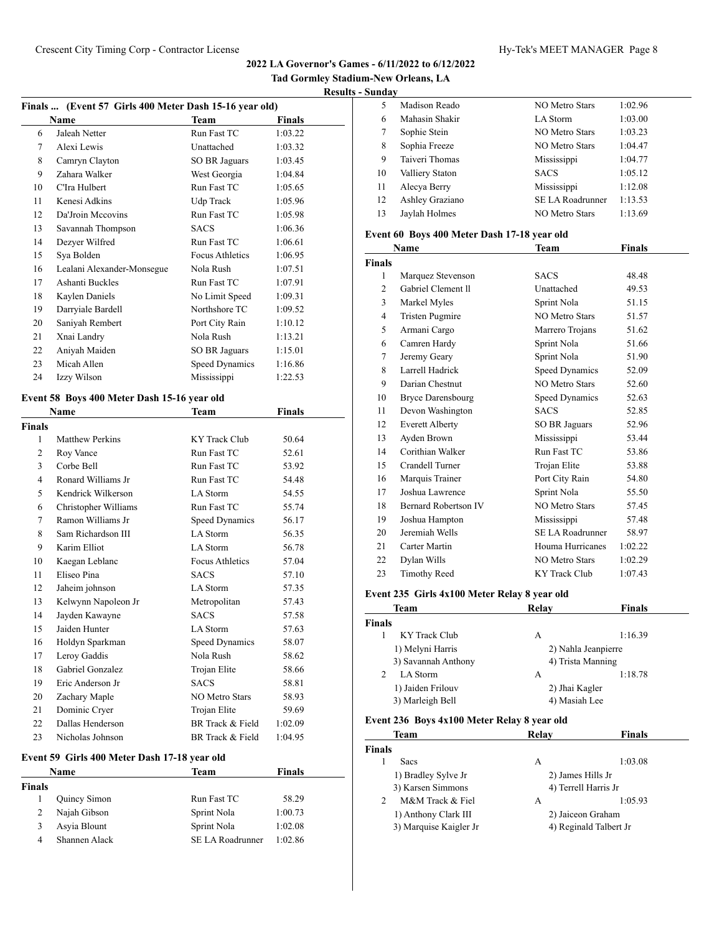## **Results - Sunday**

| Finals  (Event 57 Girls 400 Meter Dash 15-16 year old) |                                             |                        |               |
|--------------------------------------------------------|---------------------------------------------|------------------------|---------------|
|                                                        | Name                                        | <b>Team</b>            | <b>Finals</b> |
| 6                                                      | Jaleah Netter                               | Run Fast TC            | 1:03.22       |
| 7                                                      | Alexi Lewis                                 | Unattached             | 1:03.32       |
| 8                                                      | Camryn Clayton                              | <b>SO BR Jaguars</b>   | 1:03.45       |
| 9                                                      | Zahara Walker                               | West Georgia           | 1:04.84       |
| 10                                                     | C'Ira Hulbert                               | Run Fast TC            | 1:05.65       |
| 11                                                     | Kenesi Adkins                               | <b>Udp Track</b>       | 1:05.96       |
| 12                                                     | Da'Jroin Mccovins                           | Run Fast TC            | 1:05.98       |
| 13                                                     | Savannah Thompson                           | <b>SACS</b>            | 1:06.36       |
| 14                                                     | Dezyer Wilfred                              | Run Fast TC            | 1:06.61       |
| 15                                                     | Sya Bolden                                  | <b>Focus Athletics</b> | 1:06.95       |
| 16                                                     | Lealani Alexander-Monsegue                  | Nola Rush              | 1:07.51       |
| 17                                                     | Ashanti Buckles                             | Run Fast TC            | 1:07.91       |
| 18                                                     | Kaylen Daniels                              | No Limit Speed         | 1:09.31       |
| 19                                                     | Darryiale Bardell                           | Northshore TC          | 1:09.52       |
| 20                                                     | Saniyah Rembert                             | Port City Rain         | 1:10.12       |
| 21                                                     | Xnai Landry                                 | Nola Rush              | 1:13.21       |
| 22                                                     | Aniyah Maiden                               | <b>SO BR Jaguars</b>   | 1:15.01       |
| 23                                                     | Micah Allen                                 | Speed Dynamics         | 1:16.86       |
| 24                                                     | Izzy Wilson                                 | Mississippi            | 1:22.53       |
|                                                        |                                             |                        |               |
|                                                        | Event 58 Boys 400 Meter Dash 15-16 year old | Team                   | <b>Finals</b> |
| <b>Finals</b>                                          | Name                                        |                        |               |
| 1                                                      | <b>Matthew Perkins</b>                      | KY Track Club          | 50.64         |
| 2                                                      | Roy Vance                                   | Run Fast TC            | 52.61         |
| 3                                                      | Corbe Bell                                  | Run Fast TC            | 53.92         |
| 4                                                      | Ronard Williams Jr                          | Run Fast TC            | 54.48         |
| 5                                                      | Kendrick Wilkerson                          | LA Storm               | 54.55         |
| 6                                                      | Christopher Williams                        | Run Fast TC            | 55.74         |
| 7                                                      | Ramon Williams Jr                           | Speed Dynamics         | 56.17         |
| 8                                                      | Sam Richardson III                          | LA Storm               | 56.35         |
| 9                                                      | Karim Elliot                                | LA Storm               | 56.78         |
| 10                                                     | Kaegan Leblanc                              | Focus Athletics        | 57.04         |
| 11                                                     | Eliseo Pina                                 | <b>SACS</b>            | 57.10         |
| 12                                                     | Jaheim johnson                              | LA Storm               | 57.35         |
| 13                                                     | Kelwynn Napoleon Jr                         | Metropolitan           | 57.43         |
| 14                                                     | Jayden Kawayne                              | <b>SACS</b>            | 57.58         |
| 15                                                     | Jaiden Hunter                               | LA Storm               | 57.63         |
| 16                                                     | Holdyn Sparkman                             | Speed Dynamics         | 58.07         |
| 17                                                     | Leroy Gaddis                                | Nola Rush              | 58.62         |
| 18                                                     | Gabriel Gonzalez                            | Trojan Elite           | 58.66         |
| 19                                                     | Eric Anderson Jr                            | <b>SACS</b>            | 58.81         |
| 20                                                     | Zachary Maple                               | NO Metro Stars         | 58.93         |
| 21                                                     | Dominic Cryer                               | Trojan Elite           | 59.69         |
| 22                                                     | Dallas Henderson                            | BR Track & Field       | 1:02.09       |
| 23                                                     | Nicholas Johnson                            | BR Track & Field       | 1:04.95       |
|                                                        |                                             |                        |               |

# **Event 59 Girls 400 Meter Dash 17-18 year old**

| Name   |               | Team             | Finals  |  |
|--------|---------------|------------------|---------|--|
| Finals |               |                  |         |  |
|        | Quincy Simon  | Run Fast TC      | 58.29   |  |
|        | Najah Gibson  | Sprint Nola      | 1:00.73 |  |
|        | Asyia Blount  | Sprint Nola      | 1:02.08 |  |
| 4      | Shannen Alack | SE LA Roadrunner | 1:02.86 |  |
|        |               |                  |         |  |

| 5  | Madison Reado   | NO Metro Stars          | 1:02.96 |
|----|-----------------|-------------------------|---------|
| 6  | Mahasin Shakir  | LA Storm                | 1:03.00 |
| 7  | Sophie Stein    | <b>NO Metro Stars</b>   | 1:03.23 |
| 8  | Sophia Freeze   | NO Metro Stars          | 1:04.47 |
| 9  | Taiveri Thomas  | Mississippi             | 1:04.77 |
| 10 | Valliery Staton | <b>SACS</b>             | 1:05.12 |
| 11 | Alecya Berry    | Mississippi             | 1:12.08 |
| 12 | Ashley Graziano | <b>SE LA Roadrunner</b> | 1:13.53 |
| 13 | Jaylah Holmes   | NO Metro Stars          | 1:13.69 |
|    |                 |                         |         |

## **Event 60 Boys 400 Meter Dash 17-18 year old**

| Name<br>Team   |                             | Finals                  |         |  |
|----------------|-----------------------------|-------------------------|---------|--|
| <b>Finals</b>  |                             |                         |         |  |
| 1              | Marquez Stevenson           | <b>SACS</b>             | 48.48   |  |
| $\overline{c}$ | Gabriel Clement II          | Unattached              | 49.53   |  |
| 3              | Markel Myles                | Sprint Nola             | 51.15   |  |
| 4              | <b>Tristen Pugmire</b>      | <b>NO Metro Stars</b>   | 51.57   |  |
| 5              | Armani Cargo                | Marrero Trojans         | 51.62   |  |
| 6              | Camren Hardy                | Sprint Nola             | 51.66   |  |
| 7              | Jeremy Geary                | Sprint Nola             | 51.90   |  |
| 8              | Larrell Hadrick             | <b>Speed Dynamics</b>   | 52.09   |  |
| 9              | Darian Chestnut             | <b>NO Metro Stars</b>   | 52.60   |  |
| 10             | <b>Bryce Darensbourg</b>    | Speed Dynamics          | 52.63   |  |
| 11             | Devon Washington            | <b>SACS</b>             | 52.85   |  |
| 12             | <b>Everett Alberty</b>      | SO BR Jaguars           | 52.96   |  |
| 13             | Ayden Brown                 | Mississippi             | 53.44   |  |
| 14             | Corithian Walker            | Run Fast TC             | 53.86   |  |
| 15             | Crandell Turner             | Trojan Elite            | 53.88   |  |
| 16             | Marquis Trainer             | Port City Rain          | 54.80   |  |
| 17             | Joshua Lawrence             | Sprint Nola             | 55.50   |  |
| 18             | <b>Bernard Robertson IV</b> | <b>NO Metro Stars</b>   | 57.45   |  |
| 19             | Joshua Hampton              | Mississippi             | 57.48   |  |
| 20             | Jeremiah Wells              | <b>SE LA Roadrunner</b> | 58.97   |  |
| 21             | Carter Martin               | Houma Hurricanes        | 1:02.22 |  |
| 22             | Dylan Wills                 | <b>NO Metro Stars</b>   | 1:02.29 |  |
| 23             | Timothy Reed                | KY Track Club           | 1:07.43 |  |

#### **Event 235 Girls 4x100 Meter Relay 8 year old**

| <b>Team</b>                                 | Relay             | <b>Finals</b>       |  |
|---------------------------------------------|-------------------|---------------------|--|
| <b>Finals</b>                               |                   |                     |  |
| KY Track Club<br>1                          | А                 | 1:16.39             |  |
| 1) Melyni Harris                            |                   | 2) Nahla Jeanpierre |  |
| 3) Savannah Anthony                         | 4) Trista Manning |                     |  |
| 2<br>LA Storm                               | А                 | 1:18.78             |  |
| 1) Jaiden Frilouv                           | 2) Jhai Kagler    |                     |  |
| 3) Marleigh Bell                            | 4) Masiah Lee     |                     |  |
| Event 236 Boys 4x100 Meter Relay 8 year old |                   |                     |  |
| <b>Team</b>                                 | Relay             | <b>Finals</b>       |  |

| inals |                        |                        |         |  |
|-------|------------------------|------------------------|---------|--|
|       | <b>Sacs</b>            | А                      | 1:03.08 |  |
|       | 1) Bradley Sylve Jr    | 2) James Hills Jr      |         |  |
|       | 3) Karsen Simmons      | 4) Terrell Harris Jr   |         |  |
|       | M&M Track & Fiel       | A                      | 1:05.93 |  |
|       | 1) Anthony Clark III   | 2) Jaiceon Graham      |         |  |
|       | 3) Marquise Kaigler Jr | 4) Reginald Talbert Jr |         |  |
|       |                        |                        |         |  |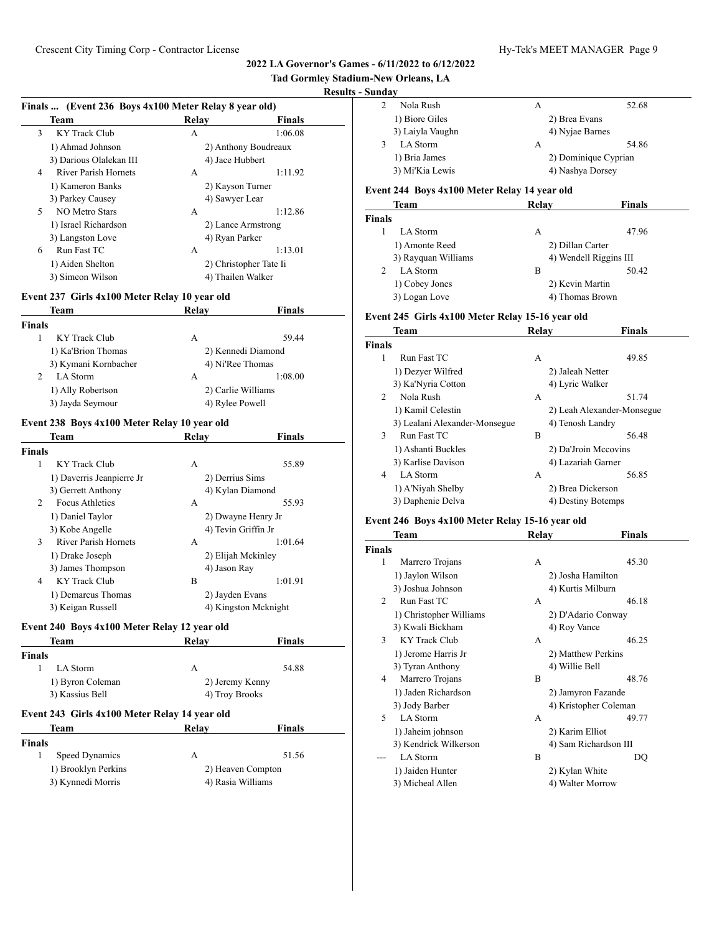# **Tad Gormley Stadium-New Orleans, LA**

# **Results - Sunday**

#### **Finals ... (Event 236 Boys 4x100 Meter Relay 8 year old)**

| Team                             | Relay             | <b>Finals</b>          |  |
|----------------------------------|-------------------|------------------------|--|
| <b>KY Track Club</b><br>3        | А                 | 1:06.08                |  |
| 1) Ahmad Johnson                 |                   | 2) Anthony Boudreaux   |  |
| 3) Darious Olalekan III          | 4) Jace Hubbert   |                        |  |
| <b>River Parish Hornets</b><br>4 | A                 | 1:11.92                |  |
| 1) Kameron Banks                 |                   | 2) Kayson Turner       |  |
| 3) Parkey Causey                 |                   | 4) Sawyer Lear         |  |
| 5<br>NO Metro Stars              | А                 | 1:12.86                |  |
| 1) Israel Richardson             |                   | 2) Lance Armstrong     |  |
| 3) Langston Love                 | 4) Ryan Parker    |                        |  |
| 6<br>Run Fast TC                 | А                 | 1:13.01                |  |
| 1) Aiden Shelton                 |                   | 2) Christopher Tate Ii |  |
| 3) Simeon Wilson                 | 4) Thailen Walker |                        |  |

#### **Event 237 Girls 4x100 Meter Relay 10 year old**

|        | Team                 | Relav              | <b>Finals</b>      |  |
|--------|----------------------|--------------------|--------------------|--|
| Finals |                      |                    |                    |  |
|        | KY Track Club        | А                  | 59.44              |  |
|        | 1) Ka'Brion Thomas   |                    | 2) Kennedi Diamond |  |
|        | 3) Kymani Kornbacher | 4) Ni'Ree Thomas   |                    |  |
|        | LA Storm             | А                  | 1:08.00            |  |
|        | 1) Ally Robertson    | 2) Carlie Williams |                    |  |
|        | 3) Jayda Seymour     | 4) Rylee Powell    |                    |  |

#### **Event 238 Boys 4x100 Meter Relay 10 year old**

|               | Team                        | Relav               | <b>Finals</b>        |
|---------------|-----------------------------|---------------------|----------------------|
| <b>Finals</b> |                             |                     |                      |
| 1             | KY Track Club               | А                   | 55.89                |
|               | 1) Daverris Jeanpierre Jr   | 2) Derrius Sims     |                      |
|               | 3) Gerrett Anthony          | 4) Kylan Diamond    |                      |
| 2             | Focus Athletics             | А                   | 55.93                |
|               | 1) Daniel Taylor            | 2) Dwayne Henry Jr  |                      |
|               | 3) Kobe Angelle             | 4) Tevin Griffin Jr |                      |
| 3             | <b>River Parish Hornets</b> | А                   | 1:01.64              |
|               | 1) Drake Joseph             | 2) Elijah Mckinley  |                      |
|               | 3) James Thompson           | 4) Jason Ray        |                      |
| 4             | <b>KY Track Club</b>        | B                   | 1:01.91              |
|               | 1) Demarcus Thomas          | 2) Jayden Evans     |                      |
|               | 3) Keigan Russell           |                     | 4) Kingston Mcknight |

# **Event 240 Boys 4x100 Meter Relay 12 year old**

| Team                                                  | Relav           | <b>Finals</b>     |
|-------------------------------------------------------|-----------------|-------------------|
| <b>Finals</b>                                         |                 |                   |
| LA Storm<br>1                                         | A               | 54.88             |
| 1) Byron Coleman                                      | 2) Jeremy Kenny |                   |
| 3) Kassius Bell                                       | 4) Troy Brooks  |                   |
|                                                       |                 |                   |
| Event 243 Girls 4x100 Meter Relay 14 year old<br>Team | Relav           | <b>Finals</b>     |
| <b>Finals</b>                                         |                 |                   |
| 1<br>Speed Dynamics                                   | A               | 51.56             |
| 1) Brooklyn Perkins                                   |                 | 2) Heaven Compton |

| Nola Rush        | А |                      | 52.68 |
|------------------|---|----------------------|-------|
| 1) Biore Giles   |   | 2) Brea Evans        |       |
| 3) Laiyla Vaughn |   | 4) Nyjae Barnes      |       |
| LA Storm         | А |                      | 54.86 |
| 1) Bria James    |   | 2) Dominique Cyprian |       |
| 3) Mi'Kia Lewis  |   | 4) Nashya Dorsey     |       |
|                  |   |                      |       |

#### **Event 244 Boys 4x100 Meter Relay 14 year old**

|               | Team                | Relav            | <b>Finals</b>          |
|---------------|---------------------|------------------|------------------------|
| <b>Finals</b> |                     |                  |                        |
|               | LA Storm            | А                | 47.96                  |
|               | 1) Amonte Reed      | 2) Dillan Carter |                        |
|               | 3) Rayquan Williams |                  | 4) Wendell Riggins III |
| $\mathcal{P}$ | LA Storm            | B                | 50.42                  |
|               | 1) Cobey Jones      | 2) Kevin Martin  |                        |
|               | 3) Logan Love       | 4) Thomas Brown  |                        |

## **Event 245 Girls 4x100 Meter Relay 15-16 year old**

|                | <b>Team</b>                   | Relay           | <b>Finals</b>              |
|----------------|-------------------------------|-----------------|----------------------------|
| <b>Finals</b>  |                               |                 |                            |
| 1              | Run Fast TC                   | А               | 49.85                      |
|                | 1) Dezyer Wilfred             |                 | 2) Jaleah Netter           |
|                | 3) Ka'Nyria Cotton            | 4) Lyric Walker |                            |
| $\mathfrak{D}$ | Nola Rush                     | A               | 51.74                      |
|                | 1) Kamil Celestin             |                 | 2) Leah Alexander-Monsegue |
|                | 3) Lealani Alexander-Monsegue |                 | 4) Tenosh Landry           |
| 3              | Run Fast TC                   | B               | 56.48                      |
|                | 1) Ashanti Buckles            |                 | 2) Da'Jroin Mccovins       |
|                | 3) Karlise Davison            |                 | 4) Lazariah Garner         |
| 4              | LA Storm                      | А               | 56.85                      |
|                | 1) A'Niyah Shelby             |                 | 2) Brea Dickerson          |
|                | 3) Daphenie Delva             |                 | 4) Destiny Botemps         |

## **Event 246 Boys 4x100 Meter Relay 15-16 year old**

|               | Team                    | Relay              | Finals                |
|---------------|-------------------------|--------------------|-----------------------|
| <b>Finals</b> |                         |                    |                       |
| 1             | Marrero Trojans         | А                  | 45.30                 |
|               | 1) Jaylon Wilson        | 2) Josha Hamilton  |                       |
|               | 3) Joshua Johnson       | 4) Kurtis Milburn  |                       |
| 2             | Run Fast TC             | A                  | 46.18                 |
|               | 1) Christopher Williams |                    | 2) D'Adario Conway    |
|               | 3) Kwali Bickham        | 4) Roy Vance       |                       |
| 3             | <b>KY</b> Track Club    | A                  | 46.25                 |
|               | 1) Jerome Harris Jr     | 2) Matthew Perkins |                       |
|               | 3) Tyran Anthony        | 4) Willie Bell     |                       |
| 4             | Marrero Trojans         | B                  | 48.76                 |
|               | 1) Jaden Richardson     |                    | 2) Jamyron Fazande    |
|               | 3) Jody Barber          |                    | 4) Kristopher Coleman |
| 5             | <b>LA</b> Storm         | A                  | 49.77                 |
|               | 1) Jaheim johnson       | 2) Karim Elliot    |                       |
|               | 3) Kendrick Wilkerson   |                    | 4) Sam Richardson III |
|               | <b>LA</b> Storm         | B                  | DQ                    |
|               | 1) Jaiden Hunter        | 2) Kylan White     |                       |
|               | 3) Micheal Allen        | 4) Walter Morrow   |                       |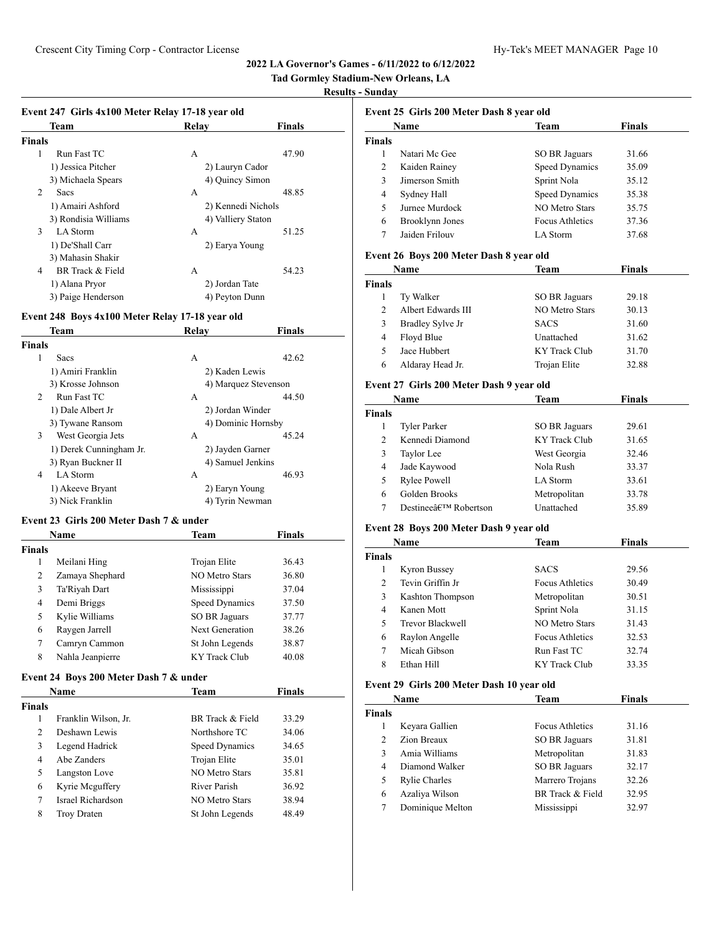# **Tad Gormley Stadium-New Orleans, LA**

## **Results - Sunday**

| Event 247 Girls 4x100 Meter Relay 17-18 year old |  |  |  |  |
|--------------------------------------------------|--|--|--|--|

| EVENT 247 THIS 48.100 METER INERY 17-10 year old |                      |                    |               |  |
|--------------------------------------------------|----------------------|--------------------|---------------|--|
|                                                  | <b>Team</b>          | Relav              | <b>Finals</b> |  |
| Finals                                           |                      |                    |               |  |
| 1                                                | Run Fast TC          | А                  | 47.90         |  |
|                                                  | 1) Jessica Pitcher   | 2) Lauryn Cador    |               |  |
|                                                  | 3) Michaela Spears   | 4) Quincy Simon    |               |  |
| 2                                                | <b>Sacs</b>          | А                  | 48.85         |  |
|                                                  | 1) Amairi Ashford    | 2) Kennedi Nichols |               |  |
|                                                  | 3) Rondisia Williams | 4) Valliery Staton |               |  |
| 3                                                | LA Storm             | А                  | 51.25         |  |
|                                                  | 1) De'Shall Carr     | 2) Earya Young     |               |  |
|                                                  | 3) Mahasin Shakir    |                    |               |  |
| 4                                                | BR Track & Field     | А                  | 54.23         |  |
|                                                  | 1) Alana Pryor       | 2) Jordan Tate     |               |  |
|                                                  | 3) Paige Henderson   | 4) Peyton Dunn     |               |  |
|                                                  |                      |                    |               |  |

#### **Event 248 Boys 4x100 Meter Relay 17-18 year old**

|                | Team                    | Relav             | <b>Finals</b>        |
|----------------|-------------------------|-------------------|----------------------|
| <b>Finals</b>  |                         |                   |                      |
| 1              | <b>Sacs</b>             | А                 | 42.62                |
|                | 1) Amiri Franklin       | 2) Kaden Lewis    |                      |
|                | 3) Krosse Johnson       |                   | 4) Marquez Stevenson |
| $\mathfrak{D}$ | Run Fast TC             | А                 | 44.50                |
|                | 1) Dale Albert Jr       | 2) Jordan Winder  |                      |
|                | 3) Tywane Ransom        |                   | 4) Dominic Hornsby   |
| 3              | West Georgia Jets       | А                 | 45.24                |
|                | 1) Derek Cunningham Jr. | 2) Jayden Garner  |                      |
|                | 3) Ryan Buckner II      | 4) Samuel Jenkins |                      |
| 4              | LA Storm                | А                 | 46.93                |
|                | 1) Akeeve Bryant        | 2) Earyn Young    |                      |
|                | 3) Nick Franklin        | 4) Tyrin Newman   |                      |

#### **Event 23 Girls 200 Meter Dash 7 & under**

|        | <b>Name</b>      | Team                 | <b>Finals</b> |
|--------|------------------|----------------------|---------------|
| Finals |                  |                      |               |
| 1      | Meilani Hing     | Trojan Elite         | 36.43         |
| 2      | Zamaya Shephard  | NO Metro Stars       | 36.80         |
| 3      | Ta'Riyah Dart    | Mississippi          | 37.04         |
| 4      | Demi Briggs      | Speed Dynamics       | 37.50         |
| 5      | Kylie Williams   | <b>SO BR Jaguars</b> | 37.77         |
| 6      | Raygen Jarrell   | Next Generation      | 38.26         |
| 7      | Camryn Cammon    | St John Legends      | 38.87         |
| 8      | Nahla Jeanpierre | <b>KY</b> Track Club | 40.08         |

#### **Event 24 Boys 200 Meter Dash 7 & under**

|                | <b>Name</b>          | Team                  | Finals |  |
|----------------|----------------------|-----------------------|--------|--|
| Finals         |                      |                       |        |  |
| 1              | Franklin Wilson, Jr. | BR Track & Field      | 33.29  |  |
| $\mathfrak{D}$ | Deshawn Lewis        | Northshore TC         | 34.06  |  |
| 3              | Legend Hadrick       | Speed Dynamics        | 34.65  |  |
| 4              | Abe Zanders          | Trojan Elite          | 35.01  |  |
| 5              | Langston Love        | NO Metro Stars        | 35.81  |  |
| 6              | Kyrie Mcguffery      | River Parish          | 36.92  |  |
| 7              | Israel Richardson    | <b>NO Metro Stars</b> | 38.94  |  |
| 8              | <b>Troy Draten</b>   | St John Legends       | 48.49  |  |

|                | Event 25 Girls 200 Meter Dash 8 year old |                 |               |  |  |  |
|----------------|------------------------------------------|-----------------|---------------|--|--|--|
|                | <b>Name</b>                              | <b>Team</b>     | <b>Finals</b> |  |  |  |
| <b>Finals</b>  |                                          |                 |               |  |  |  |
|                | Natari Mc Gee                            | SO BR Jaguars   | 31.66         |  |  |  |
| $\overline{c}$ | Kaiden Rainey                            | Speed Dynamics  | 35.09         |  |  |  |
| 3              | Jimerson Smith                           | Sprint Nola     | 35.12         |  |  |  |
| 4              | Sydney Hall                              | Speed Dynamics  | 35.38         |  |  |  |
| 5              | Jurnee Murdock                           | NO Metro Stars  | 35.75         |  |  |  |
| 6              | Brooklynn Jones                          | Focus Athletics | 37.36         |  |  |  |
| 7              | Jaiden Frilouv                           | LA Storm        | 37.68         |  |  |  |

## **Event 26 Boys 200 Meter Dash 8 year old**

| Name               | Team           | <b>Finals</b> |  |
|--------------------|----------------|---------------|--|
|                    |                |               |  |
| Ty Walker          | SO BR Jaguars  | 29.18         |  |
| Albert Edwards III | NO Metro Stars | 30.13         |  |
| Bradley Sylve Jr   | <b>SACS</b>    | 31.60         |  |
| Floyd Blue         | Unattached     | 31.62         |  |
| Jace Hubbert       | KY Track Club  | 31.70         |  |
| Aldaray Head Jr.   | Trojan Elite   | 32.88         |  |
|                    |                |               |  |

#### **Event 27 Girls 200 Meter Dash 9 year old**

|               | Name                              | Team                 | <b>Finals</b> |  |
|---------------|-----------------------------------|----------------------|---------------|--|
| <b>Finals</b> |                                   |                      |               |  |
|               | Tyler Parker                      | SO BR Jaguars        | 29.61         |  |
| 2             | Kennedi Diamond                   | <b>KY</b> Track Club | 31.65         |  |
| 3             | Taylor Lee                        | West Georgia         | 32.46         |  |
| 4             | Jade Kaywood                      | Nola Rush            | 33.37         |  |
| 5             | Rylee Powell                      | LA Storm             | 33.61         |  |
| 6             | Golden Brooks                     | Metropolitan         | 33.78         |  |
|               | Destineeâ€ <sup>™</sup> Robertson | Unattached           | 35.89         |  |

# **Event 28 Boys 200 Meter Dash 9 year old**

| Name           |                  | Team                   | Finals |  |
|----------------|------------------|------------------------|--------|--|
| <b>Finals</b>  |                  |                        |        |  |
| 1              | Kyron Bussey     | <b>SACS</b>            | 29.56  |  |
| $\mathfrak{D}$ | Tevin Griffin Jr | Focus Athletics        | 30.49  |  |
| 3              | Kashton Thompson | Metropolitan           | 30.51  |  |
| 4              | Kanen Mott       | Sprint Nola            | 31.15  |  |
| 5              | Trevor Blackwell | <b>NO Metro Stars</b>  | 31.43  |  |
| 6              | Raylon Angelle   | <b>Focus Athletics</b> | 32.53  |  |
| 7              | Micah Gibson     | Run Fast TC            | 32.74  |  |
| 8              | Ethan Hill       | KY Track Club          | 33.35  |  |

# **Event 29 Girls 200 Meter Dash 10 year old**

| Name           |                      | Team                   | <b>Finals</b> |
|----------------|----------------------|------------------------|---------------|
| <b>Finals</b>  |                      |                        |               |
|                | Keyara Gallien       | <b>Focus Athletics</b> | 31.16         |
| $\mathfrak{D}$ | Zion Breaux          | <b>SO BR Jaguars</b>   | 31.81         |
| 3              | Amia Williams        | Metropolitan           | 31.83         |
| 4              | Diamond Walker       | <b>SO BR Jaguars</b>   | 32.17         |
| 5              | <b>Rylie Charles</b> | Marrero Trojans        | 32.26         |
| 6              | Azaliya Wilson       | BR Track & Field       | 32.95         |
|                | Dominique Melton     | Mississippi            | 32.97         |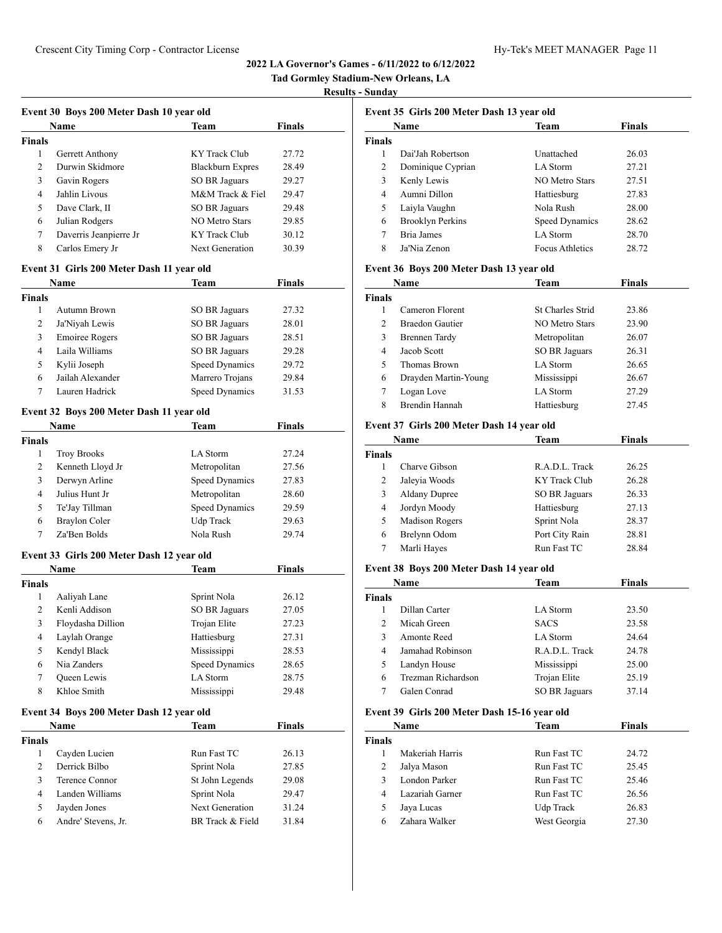# **Tad Gormley Stadium-New Orleans, LA**

## **Results - Sunday**

| <b>Name</b><br><b>Team</b> |                        | <b>Finals</b>    |       |
|----------------------------|------------------------|------------------|-------|
| <b>Finals</b>              |                        |                  |       |
| 1                          | Gerrett Anthony        | KY Track Club    | 27.72 |
| $\overline{2}$             | Durwin Skidmore        | Blackburn Expres | 28.49 |
| 3                          | Gavin Rogers           | SO BR Jaguars    | 29.27 |
| 4                          | Jahlin Livous          | M&M Track & Fiel | 29.47 |
| 5                          | Dave Clark, II         | SO BR Jaguars    | 29.48 |
| 6                          | Julian Rodgers         | NO Metro Stars   | 29.85 |
| 7                          | Daverris Jeanpierre Jr | KY Track Club    | 30.12 |
| 8                          | Carlos Emery Jr        | Next Generation  | 30.39 |

## **Event 31 Girls 200 Meter Dash 11 year old**

|        | Name                  | Team                  | <b>Finals</b> |  |
|--------|-----------------------|-----------------------|---------------|--|
| Finals |                       |                       |               |  |
|        | Autumn Brown          | SO BR Jaguars         | 27.32         |  |
| 2      | Ja'Niyah Lewis        | <b>SO BR Jaguars</b>  | 28.01         |  |
| 3      | <b>Emoiree Rogers</b> | <b>SO BR Jaguars</b>  | 28.51         |  |
| 4      | Laila Williams        | <b>SO BR Jaguars</b>  | 29.28         |  |
| 5      | Kylii Joseph          | Speed Dynamics        | 29.72         |  |
| 6      | Jailah Alexander      | Marrero Trojans       | 29.84         |  |
|        | Lauren Hadrick        | <b>Speed Dynamics</b> | 31.53         |  |
|        |                       |                       |               |  |

## **Event 32 Boys 200 Meter Dash 11 year old**

|        | <b>Name</b>        | Team           | <b>Finals</b> |  |
|--------|--------------------|----------------|---------------|--|
| Finals |                    |                |               |  |
| 1      | <b>Troy Brooks</b> | LA Storm       | 27.24         |  |
| 2      | Kenneth Lloyd Jr   | Metropolitan   | 27.56         |  |
| 3      | Derwyn Arline      | Speed Dynamics | 27.83         |  |
| 4      | Julius Hunt Jr     | Metropolitan   | 28.60         |  |
| 5      | Te'Jay Tillman     | Speed Dynamics | 29.59         |  |
| 6      | Braylon Coler      | Udp Track      | 29.63         |  |
|        | Za'Ben Bolds       | Nola Rush      | 29.74         |  |
|        |                    |                |               |  |

## **Event 33 Girls 200 Meter Dash 12 year old**

|        | <b>Name</b>       | <b>Team</b>    | Finals |  |
|--------|-------------------|----------------|--------|--|
| Finals |                   |                |        |  |
| 1      | Aaliyah Lane      | Sprint Nola    | 26.12  |  |
| 2      | Kenli Addison     | SO BR Jaguars  | 27.05  |  |
| 3      | Floydasha Dillion | Trojan Elite   | 27.23  |  |
| 4      | Laylah Orange     | Hattiesburg    | 27.31  |  |
| 5      | Kendyl Black      | Mississippi    | 28.53  |  |
| 6      | Nia Zanders       | Speed Dynamics | 28.65  |  |
| 7      | Queen Lewis       | LA Storm       | 28.75  |  |
| 8      | Khloe Smith       | Mississippi    | 29.48  |  |

# **Event 34 Boys 200 Meter Dash 12 year old**

|        | Name                | Team             | <b>Finals</b> |
|--------|---------------------|------------------|---------------|
| Finals |                     |                  |               |
|        | Cayden Lucien       | Run Fast TC      | 26.13         |
| 2      | Derrick Bilbo       | Sprint Nola      | 27.85         |
|        | Terence Connor      | St John Legends  | 29.08         |
| 4      | Landen Williams     | Sprint Nola      | 29.47         |
|        | Jayden Jones        | Next Generation  | 31.24         |
| 6      | Andre' Stevens, Jr. | BR Track & Field | 31.84         |

|        | Event 35 Girls 200 Meter Dash 13 year old |                        |               |  |
|--------|-------------------------------------------|------------------------|---------------|--|
|        | Name                                      | Team                   | <b>Finals</b> |  |
| Finals |                                           |                        |               |  |
|        | Dai'Jah Robertson                         | Unattached             | 26.03         |  |
| 2      | Dominique Cyprian                         | LA Storm               | 27.21         |  |
| 3      | Kenly Lewis                               | <b>NO Metro Stars</b>  | 27.51         |  |
| 4      | Aumni Dillon                              | Hattiesburg            | 27.83         |  |
| 5      | Laiyla Vaughn                             | Nola Rush              | 28.00         |  |
| 6      | <b>Brooklyn Perkins</b>                   | Speed Dynamics         | 28.62         |  |
| 7      | Bria James                                | LA Storm               | 28.70         |  |
| 8      | Ja'Nia Zenon                              | <b>Focus Athletics</b> | 28.72         |  |

## **Event 36 Boys 200 Meter Dash 13 year old**

|               | <b>Name</b>          | Team                    | <b>Finals</b> |  |
|---------------|----------------------|-------------------------|---------------|--|
| <b>Finals</b> |                      |                         |               |  |
|               | Cameron Florent      | <b>St Charles Strid</b> | 23.86         |  |
| $\mathcal{L}$ | Braedon Gautier      | NO Metro Stars          | 23.90         |  |
| 3             | Brennen Tardy        | Metropolitan            | 26.07         |  |
| 4             | Jacob Scott          | <b>SO BR Jaguars</b>    | 26.31         |  |
| 5             | Thomas Brown         | LA Storm                | 26.65         |  |
| 6             | Drayden Martin-Young | Mississippi             | 26.67         |  |
| 7             | Logan Love           | LA Storm                | 27.29         |  |
| 8             | Brendin Hannah       | Hattiesburg             | 27.45         |  |

#### **Event 37 Girls 200 Meter Dash 14 year old**

|               | Name                  | Team           | <b>Finals</b> |  |
|---------------|-----------------------|----------------|---------------|--|
| <b>Finals</b> |                       |                |               |  |
|               | Charve Gibson         | R.A.D.L. Track | 26.25         |  |
| 2             | Jaleyia Woods         | KY Track Club  | 26.28         |  |
| 3             | <b>Aldany Dupree</b>  | SO BR Jaguars  | 26.33         |  |
| 4             | Jordyn Moody          | Hattiesburg    | 27.13         |  |
| 5             | <b>Madison Rogers</b> | Sprint Nola    | 28.37         |  |
| 6             | Brelynn Odom          | Port City Rain | 28.81         |  |
| 7             | Marli Hayes           | Run Fast TC    | 28.84         |  |

#### **Event 38 Boys 200 Meter Dash 14 year old**

|                | Name               | Team                 | <b>Finals</b> |
|----------------|--------------------|----------------------|---------------|
| <b>Finals</b>  |                    |                      |               |
|                | Dillan Carter      | <b>LA</b> Storm      | 23.50         |
| $\mathfrak{D}$ | Micah Green        | <b>SACS</b>          | 23.58         |
| 3              | Amonte Reed        | LA Storm             | 24.64         |
| 4              | Jamahad Robinson   | R.A.D.L. Track       | 24.78         |
| 5              | Landyn House       | Mississippi          | 25.00         |
| 6              | Trezman Richardson | Trojan Elite         | 25.19         |
|                | Galen Conrad       | <b>SO BR Jaguars</b> | 37.14         |

# **Event 39 Girls 200 Meter Dash 15-16 year old**

| Name          |                 | Team         | <b>Finals</b> |  |
|---------------|-----------------|--------------|---------------|--|
| <b>Finals</b> |                 |              |               |  |
|               | Makeriah Harris | Run Fast TC  | 24.72         |  |
| 2             | Jalya Mason     | Run Fast TC  | 25.45         |  |
| 3             | London Parker   | Run Fast TC  | 25.46         |  |
| 4             | Lazariah Garner | Run Fast TC  | 26.56         |  |
| 5             | Jaya Lucas      | Udp Track    | 26.83         |  |
| 6             | Zahara Walker   | West Georgia | 27.30         |  |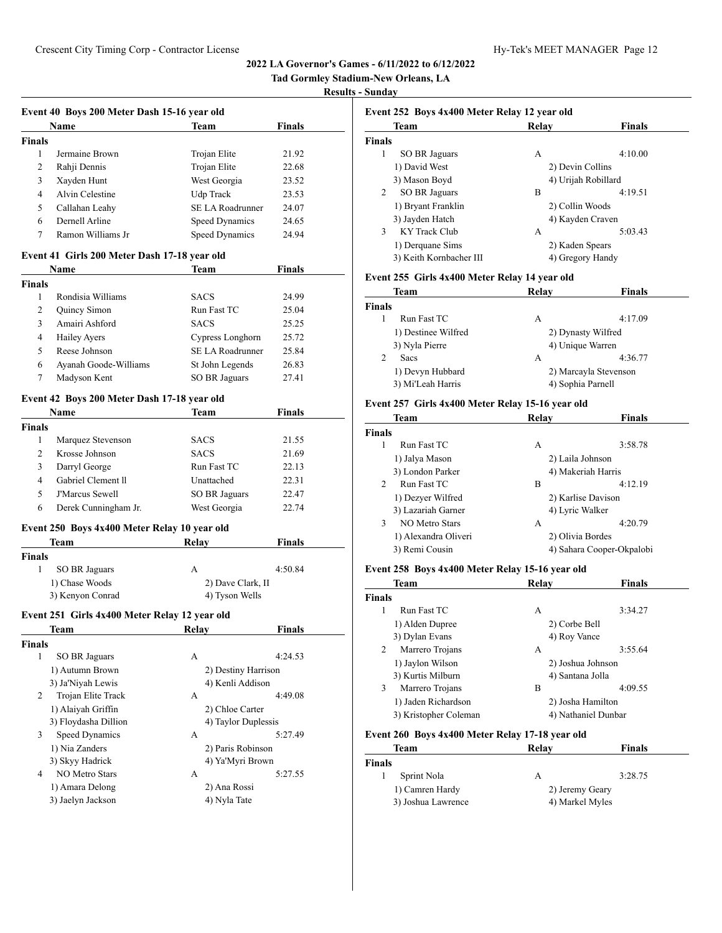# **Tad Gormley Stadium-New Orleans, LA**

#### **Results - Sunday**

| <b>Name</b>    |                   | Team             | <b>Finals</b> |
|----------------|-------------------|------------------|---------------|
| <b>Finals</b>  |                   |                  |               |
| 1              | Jermaine Brown    | Trojan Elite     | 21.92         |
| 2              | Rahji Dennis      | Trojan Elite     | 22.68         |
| 3              | Xayden Hunt       | West Georgia     | 23.52         |
| $\overline{4}$ | Alvin Celestine   | Udp Track        | 23.53         |
| 5              | Callahan Leahy    | SE LA Roadrunner | 24.07         |
| 6              | Dernell Arline    | Speed Dynamics   | 24.65         |
| 7              | Ramon Williams Jr | Speed Dynamics   | 24.94         |
|                |                   |                  |               |

# **Event 41 Girls 200 Meter Dash 17-18 year old**

| <b>Name</b>   |                       | Team             | <b>Finals</b> |
|---------------|-----------------------|------------------|---------------|
| <b>Finals</b> |                       |                  |               |
|               | Rondisia Williams     | <b>SACS</b>      | 24.99         |
| 2             | Quincy Simon          | Run Fast TC      | 25.04         |
| 3             | Amairi Ashford        | <b>SACS</b>      | 25.25         |
| 4             | <b>Hailey Ayers</b>   | Cypress Longhorn | 25.72         |
| 5             | Reese Johnson         | SE LA Roadrunner | 25.84         |
| 6             | Ayanah Goode-Williams | St John Legends  | 26.83         |
|               | Madyson Kent          | SO BR Jaguars    | 27.41         |

## **Event 42 Boys 200 Meter Dash 17-18 year old**

| <b>Name</b>            | Team          | <b>Finals</b> |  |
|------------------------|---------------|---------------|--|
|                        |               |               |  |
| Marquez Stevenson      | <b>SACS</b>   | 21.55         |  |
| Krosse Johnson         | <b>SACS</b>   | 21.69         |  |
| Darryl George          | Run Fast TC   | 22.13         |  |
| Gabriel Clement II     | Unattached    | 22.31         |  |
| <b>J'Marcus Sewell</b> | SO BR Jaguars | 22.47         |  |
| Derek Cunningham Jr.   | West Georgia  | 22.74         |  |
|                        |               |               |  |

#### **Event 250 Boys 4x400 Meter Relay 10 year old**

| Team             | Relav             | <b>Finals</b> |
|------------------|-------------------|---------------|
| Finals           |                   |               |
| SO BR Jaguars    | А                 | 4:50.84       |
| 1) Chase Woods   | 2) Dave Clark, II |               |
| 3) Kenyon Conrad | 4) Tyson Wells    |               |

## **Event 251 Girls 4x400 Meter Relay 12 year old**

| <b>Team</b>             | Relay             | <b>Finals</b>       |
|-------------------------|-------------------|---------------------|
| Finals                  |                   |                     |
| 1<br>SO BR Jaguars      | А                 | 4:24.53             |
| 1) Autumn Brown         |                   | 2) Destiny Harrison |
| 3) Ja'Niyah Lewis       | 4) Kenli Addison  |                     |
| Trojan Elite Track<br>2 | А                 | 4:49.08             |
| 1) Alaiyah Griffin      | 2) Chloe Carter   |                     |
| 3) Floydasha Dillion    |                   | 4) Taylor Duplessis |
| 3<br>Speed Dynamics     | А                 | 5:27.49             |
| 1) Nia Zanders          | 2) Paris Robinson |                     |
| 3) Skyy Hadrick         | 4) Ya'Myri Brown  |                     |
| NO Metro Stars<br>4     | А                 | 5:27.55             |
| 1) Amara Delong         | 2) Ana Rossi      |                     |
| 3) Jaelyn Jackson       | 4) Nyla Tate      |                     |
|                         |                   |                     |

| Event 252 Boys 4x400 Meter Relay 12 year old |                  |                     |  |  |
|----------------------------------------------|------------------|---------------------|--|--|
| <b>Team</b>                                  | Relav            | <b>Finals</b>       |  |  |
| <b>Finals</b>                                |                  |                     |  |  |
| <b>SO BR Jaguars</b>                         | А                | 4:10.00             |  |  |
| 1) David West                                | 2) Devin Collins |                     |  |  |
| 3) Mason Boyd                                |                  | 4) Urijah Robillard |  |  |
| SO BR Jaguars                                | B                | 4:19.51             |  |  |
| 1) Bryant Franklin                           | 2) Collin Woods  |                     |  |  |
| 3) Jayden Hatch                              |                  | 4) Kayden Craven    |  |  |
| KY Track Club                                | А                | 5:03.43             |  |  |
| 1) Derquane Sims                             | 2) Kaden Spears  |                     |  |  |
| 3) Keith Kornbacher III                      |                  | 4) Gregory Handy    |  |  |
|                                              |                  |                     |  |  |

#### **Event 255 Girls 4x400 Meter Relay 14 year old**

| Team                | Relay             | <b>Finals</b>         |
|---------------------|-------------------|-----------------------|
| <b>Finals</b>       |                   |                       |
| Run Fast TC         | А                 | 4:17.09               |
| 1) Destinee Wilfred |                   | 2) Dynasty Wilfred    |
| 3) Nyla Pierre      | 4) Unique Warren  |                       |
| 2<br>Sacs           | А                 | 4:36.77               |
| 1) Devyn Hubbard    |                   | 2) Marcayla Stevenson |
| 3) Mi'Leah Harris   | 4) Sophia Parnell |                       |

#### **Event 257 Girls 4x400 Meter Relay 15-16 year old**

|               | <b>Team</b>           | Relay            | <b>Finals</b>             |
|---------------|-----------------------|------------------|---------------------------|
| <b>Finals</b> |                       |                  |                           |
| 1             | Run Fast TC           | А                | 3:58.78                   |
|               | 1) Jalya Mason        | 2) Laila Johnson |                           |
|               | 3) London Parker      |                  | 4) Makeriah Harris        |
| $\mathcal{L}$ | Run Fast TC           | B                | 4:12.19                   |
|               | 1) Dezyer Wilfred     |                  | 2) Karlise Davison        |
|               | 3) Lazariah Garner    | 4) Lyric Walker  |                           |
| 3             | <b>NO Metro Stars</b> | А                | 4:20.79                   |
|               | 1) Alexandra Oliveri  | 2) Olivia Bordes |                           |
|               | 3) Remi Cousin        |                  | 4) Sahara Cooper-Okpalobi |

#### **Event 258 Boys 4x400 Meter Relay 15-16 year old**

|               | Team                  | Relay             | <b>Finals</b>       |
|---------------|-----------------------|-------------------|---------------------|
| <b>Finals</b> |                       |                   |                     |
|               | Run Fast TC           | А                 | 3:34.27             |
|               | 1) Alden Dupree       | 2) Corbe Bell     |                     |
|               | 3) Dylan Evans        | 4) Roy Vance      |                     |
| 2             | Marrero Trojans       | А                 | 3:55.64             |
|               | 1) Jaylon Wilson      | 2) Joshua Johnson |                     |
|               | 3) Kurtis Milburn     | 4) Santana Jolla  |                     |
| 3             | Marrero Trojans       | B                 | 4:09.55             |
|               | 1) Jaden Richardson   | 2) Josha Hamilton |                     |
|               | 3) Kristopher Coleman |                   | 4) Nathaniel Dunbar |

#### **Event 260 Boys 4x400 Meter Relay 17-18 year old**

| Team               |                 | Relay           | Finals  |
|--------------------|-----------------|-----------------|---------|
| Finals             |                 |                 |         |
|                    | Sprint Nola     | А               | 3:28.75 |
|                    | 1) Camren Hardy | 2) Jeremy Geary |         |
| 3) Joshua Lawrence |                 | 4) Markel Myles |         |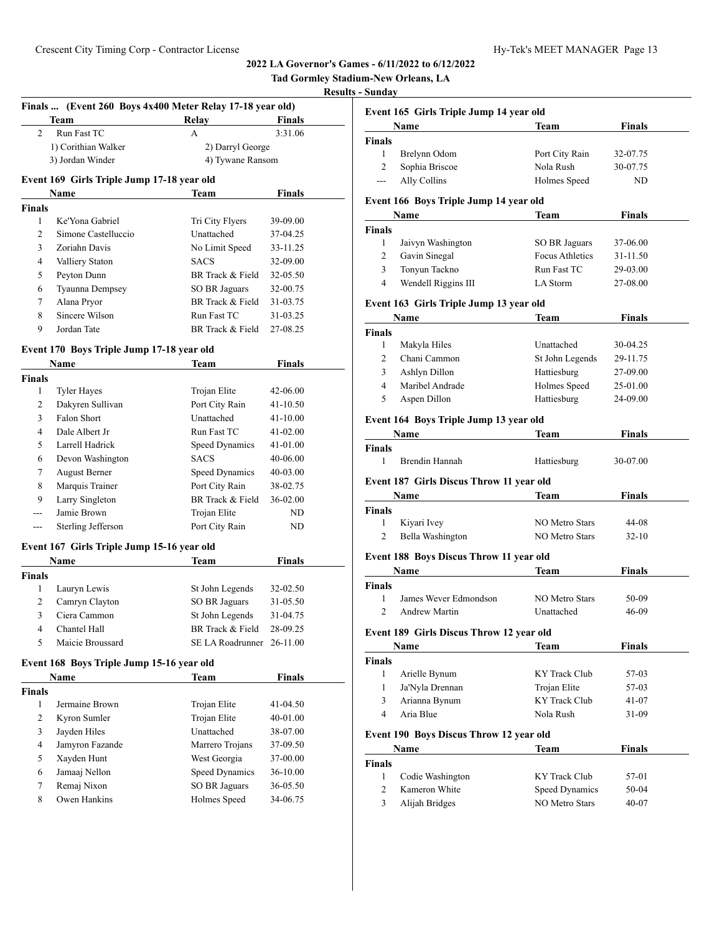# **Tad Gormley Stadium-New Orleans, LA**

# **Results - S**

|                |                                            | Finals  (Event 260 Boys 4x400 Meter Relay 17-18 year old) |               |  |
|----------------|--------------------------------------------|-----------------------------------------------------------|---------------|--|
|                | Team                                       | Relay                                                     | <b>Finals</b> |  |
| 2              | Run Fast TC                                | А                                                         | 3:31.06       |  |
|                | 1) Corithian Walker                        | 2) Darryl George                                          |               |  |
|                | 3) Jordan Winder                           | 4) Tywane Ransom                                          |               |  |
|                | Event 169 Girls Triple Jump 17-18 year old |                                                           |               |  |
|                | Name                                       | Team                                                      | <b>Finals</b> |  |
| <b>Finals</b>  |                                            |                                                           |               |  |
| 1              | Ke'Yona Gabriel                            | Tri City Flyers                                           | 39-09.00      |  |
| 2              | Simone Castelluccio                        | Unattached                                                | 37-04.25      |  |
| 3              | Zoriahn Davis                              | No Limit Speed                                            | 33-11.25      |  |
| 4              | Valliery Staton                            | <b>SACS</b>                                               | 32-09.00      |  |
| 5              | Peyton Dunn                                | BR Track & Field                                          | 32-05.50      |  |
| 6              | Tyaunna Dempsey                            | SO BR Jaguars                                             | 32-00.75      |  |
| 7              | Alana Pryor                                | BR Track & Field                                          | 31-03.75      |  |
| 8              | Sincere Wilson                             | Run Fast TC                                               | 31-03.25      |  |
| 9              | Jordan Tate                                | BR Track & Field                                          | 27-08.25      |  |
|                | Event 170 Boys Triple Jump 17-18 year old  |                                                           |               |  |
|                | Name                                       | Team                                                      | <b>Finals</b> |  |
| <b>Finals</b>  |                                            |                                                           |               |  |
| 1              | <b>Tyler Hayes</b>                         | Trojan Elite                                              | 42-06.00      |  |
| 2              | Dakyren Sullivan                           | Port City Rain                                            | 41-10.50      |  |
| 3              | Falon Short                                | Unattached                                                | 41-10.00      |  |
| 4              | Dale Albert Jr                             | Run Fast TC                                               | 41-02.00      |  |
| 5              | Larrell Hadrick                            | Speed Dynamics                                            | 41-01.00      |  |
| 6              | Devon Washington                           | <b>SACS</b>                                               | 40-06.00      |  |
| 7              | <b>August Berner</b>                       | Speed Dynamics                                            | 40-03.00      |  |
| 8              | Marquis Trainer                            | Port City Rain                                            | 38-02.75      |  |
| 9              | Larry Singleton                            | BR Track & Field                                          | 36-02.00      |  |
| ---            | Jamie Brown                                | Trojan Elite                                              | ND.           |  |
| ---            | Sterling Jefferson                         | Port City Rain                                            | ND            |  |
|                | Event 167 Girls Triple Jump 15-16 year old |                                                           |               |  |
|                | Name                                       | Team                                                      | <b>Finals</b> |  |
| <b>Finals</b>  |                                            |                                                           |               |  |
| 1              | Lauryn Lewis                               | St John Legends                                           | 32-02.50      |  |
| 2              | Camryn Clayton                             | <b>SO BR Jaguars</b>                                      | 31-05.50      |  |
| 3              | Ciera Cammon                               | St John Legends                                           | 31-04.75      |  |
| $\overline{A}$ | Chantel Hall                               | BR Track & Field                                          | 28-09.25      |  |
| 5              | Maicie Broussard                           | SE LA Roadrunner 26-11.00                                 |               |  |
|                | Event 168 Boys Triple Jump 15-16 year old  |                                                           |               |  |
|                | Name                                       | <b>Team</b>                                               | <b>Finals</b> |  |
| <b>Finals</b>  |                                            |                                                           |               |  |
| 1              | Jermaine Brown                             | Trojan Elite                                              | 41-04.50      |  |
| 2              | Kyron Sumler                               | Trojan Elite                                              | 40-01.00      |  |
| 3              | Jayden Hiles                               | Unattached                                                | 38-07.00      |  |
| 4              | Jamyron Fazande                            | Marrero Trojans                                           | 37-09.50      |  |
| 5              | Xayden Hunt                                | West Georgia                                              | 37-00.00      |  |
| 6              | Jamaaj Nellon                              | Speed Dynamics                                            | 36-10.00      |  |
| 7              | Remaj Nixon                                | <b>SO BR Jaguars</b>                                      | 36-05.50      |  |
| 8              | Owen Hankins                               | Holmes Speed                                              | 34-06.75      |  |
|                |                                            |                                                           |               |  |
|                |                                            |                                                           |               |  |

|                  | Event 165 Girls Triple Jump 14 year old  |                        |                                                                    |
|------------------|------------------------------------------|------------------------|--------------------------------------------------------------------|
|                  | Name                                     | Team                   | <b>Finals</b>                                                      |
| <b>Finals</b>    |                                          |                        |                                                                    |
| $\mathbf{1}$     | Brelynn Odom                             | Port City Rain         | 32-07.75                                                           |
| 2                | Sophia Briscoe                           | Nola Rush              | 30-07.75                                                           |
| ---              | Ally Collins                             | Holmes Speed           | ND                                                                 |
|                  | Event 166 Boys Triple Jump 14 year old   |                        |                                                                    |
|                  | Name                                     | Team                   | <b>Finals</b>                                                      |
| <b>Finals</b>    |                                          |                        |                                                                    |
| 1                | Jaivyn Washington                        | SO BR Jaguars          | 37-06.00                                                           |
| 2                | Gavin Sinegal                            | <b>Focus Athletics</b> | 31-11.50                                                           |
| 3                | Tonyun Tackno                            | Run Fast TC            | 29-03.00                                                           |
| 4                | Wendell Riggins III                      | LA Storm               | 27-08.00                                                           |
|                  | Event 163 Girls Triple Jump 13 year old  |                        |                                                                    |
|                  | Name                                     | Team                   | Finals                                                             |
| Finals           |                                          |                        |                                                                    |
| 1                | Makyla Hiles                             | Unattached             | 30-04.25                                                           |
| 2                | Chani Cammon                             | St John Legends        | 29-11.75                                                           |
| 3                | Ashlyn Dillon                            | Hattiesburg            | 27-09.00                                                           |
| 4                | Maribel Andrade                          | Holmes Speed           | 25-01.00                                                           |
| 5                | Aspen Dillon                             | Hattiesburg            | 24-09.00                                                           |
|                  | Event 164 Boys Triple Jump 13 year old   |                        |                                                                    |
|                  | Name                                     | Team                   | Finals                                                             |
| <b>Finals</b>    |                                          |                        |                                                                    |
| 1                | Brendin Hannah                           | Hattiesburg            | 30-07.00                                                           |
|                  |                                          |                        |                                                                    |
|                  | Event 187 Girls Discus Throw 11 year old |                        |                                                                    |
|                  | Name                                     | Team                   | Finals                                                             |
|                  |                                          |                        |                                                                    |
| 1                | Kiyari Ivey                              | <b>NO Metro Stars</b>  | 44-08                                                              |
| 2                | Bella Washington                         | <b>NO Metro Stars</b>  | $32 - 10$                                                          |
|                  | Event 188 Boys Discus Throw 11 year old  |                        |                                                                    |
|                  | Name                                     | <b>Team</b>            |                                                                    |
|                  |                                          |                        | <b>Finals</b>                                                      |
| 1                | James Wever Edmondson                    | <b>NO Metro Stars</b>  |                                                                    |
| $\overline{2}$   | <b>Andrew Martin</b>                     | Unattached             | 50-09<br>46-09                                                     |
|                  | Event 189 Girls Discus Throw 12 year old |                        |                                                                    |
| Finals<br>Finals | Name                                     | Team                   |                                                                    |
| <b>Finals</b>    |                                          |                        |                                                                    |
| 1                | Arielle Bynum                            | KY Track Club          |                                                                    |
| 1                | Ja'Nyla Drennan                          | Trojan Elite           |                                                                    |
| 3                | Arianna Bynum                            | <b>KY</b> Track Club   |                                                                    |
| 4                | Aria Blue                                | Nola Rush              |                                                                    |
|                  | Event 190 Boys Discus Throw 12 year old  |                        |                                                                    |
|                  | Name                                     | Team                   | <b>Finals</b><br>57-03<br>57-03<br>41-07<br>31-09<br><b>Finals</b> |
| <b>Finals</b>    |                                          |                        |                                                                    |
| 1                | Codie Washington                         | KY Track Club          | 57-01                                                              |
| 2                | Kameron White                            | Speed Dynamics         | 50-04                                                              |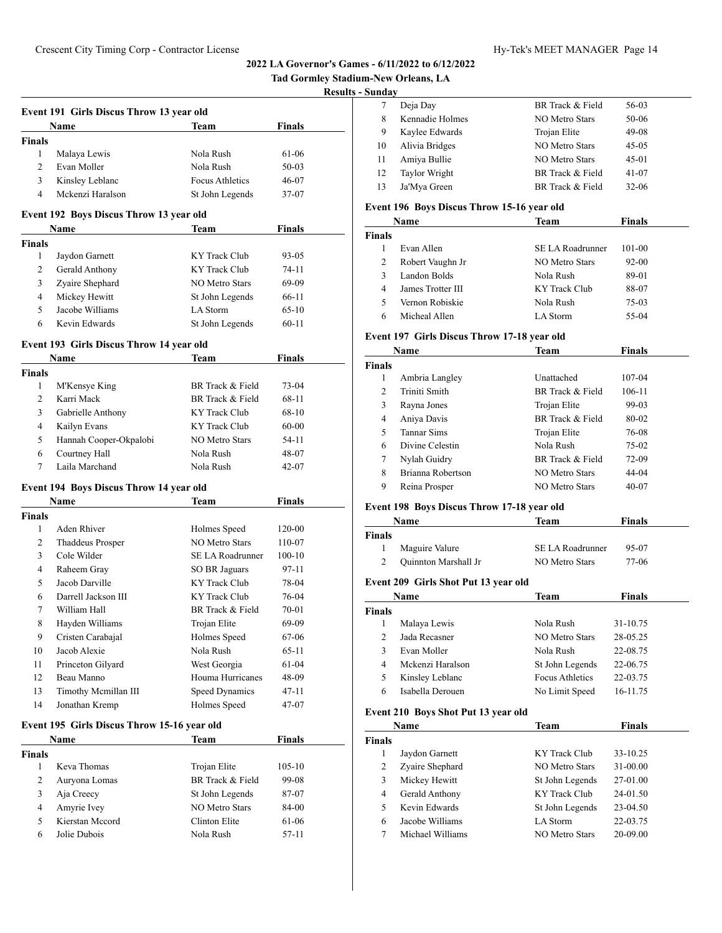| Tad Gormley Stadium-New Orleans, LA |                  |  |  |
|-------------------------------------|------------------|--|--|
|                                     | <b>n</b> 1. a 1. |  |  |

# **Results - Sunday**

|               | Event 191 Girls Discus Throw 13 year old |                        |               |  |  |
|---------------|------------------------------------------|------------------------|---------------|--|--|
|               | <b>Name</b>                              | <b>Team</b>            | <b>Finals</b> |  |  |
| <b>Finals</b> |                                          |                        |               |  |  |
|               | Malaya Lewis                             | Nola Rush              | 61-06         |  |  |
| 2             | Evan Moller                              | Nola Rush              | $50-03$       |  |  |
| 3             | Kinsley Leblanc                          | <b>Focus Athletics</b> | 46-07         |  |  |
| 4             | Mckenzi Haralson                         | St John Legends        | 37-07         |  |  |

#### **Event 192 Boys Discus Throw 13 year old**

|        | <b>Name</b>     | Team            | <b>Finals</b> |  |
|--------|-----------------|-----------------|---------------|--|
| Finals |                 |                 |               |  |
|        | Jaydon Garnett  | KY Track Club   | $93 - 05$     |  |
| 2      | Gerald Anthony  | KY Track Club   | $74-11$       |  |
| 3      | Zyaire Shephard | NO Metro Stars  | 69-09         |  |
| 4      | Mickey Hewitt   | St John Legends | 66-11         |  |
| 5      | Jacobe Williams | LA Storm        | $65-10$       |  |
| 6      | Kevin Edwards   | St John Legends | $60 - 11$     |  |

#### **Event 193 Girls Discus Throw 14 year old**

|               | Name                   | Team             | <b>Finals</b> |  |
|---------------|------------------------|------------------|---------------|--|
| <b>Finals</b> |                        |                  |               |  |
|               | M'Kensye King          | BR Track & Field | 73-04         |  |
| 2             | Karri Mack             | BR Track & Field | 68-11         |  |
| 3             | Gabrielle Anthony      | KY Track Club    | 68-10         |  |
| 4             | Kailyn Evans           | KY Track Club    | 60-00         |  |
| 5             | Hannah Cooper-Okpalobi | NO Metro Stars   | 54-11         |  |
| 6             | Courtney Hall          | Nola Rush        | 48-07         |  |
|               | Laila Marchand         | Nola Rush        | $42 - 07$     |  |

#### **Event 194 Boys Discus Throw 14 year old**

|               | Name                 | <b>Team</b>      | <b>Finals</b> |  |
|---------------|----------------------|------------------|---------------|--|
| <b>Finals</b> |                      |                  |               |  |
| 1             | Aden Rhiver          | Holmes Speed     | 120-00        |  |
| 2             | Thaddeus Prosper     | NO Metro Stars   | 110-07        |  |
| 3             | Cole Wilder          | SE LA Roadrunner | $100 - 10$    |  |
| 4             | Raheem Gray          | SO BR Jaguars    | 97-11         |  |
| 5             | Jacob Darville       | KY Track Club    | 78-04         |  |
| 6             | Darrell Jackson III  | KY Track Club    | 76-04         |  |
| 7             | William Hall         | BR Track & Field | 70-01         |  |
| 8             | Hayden Williams      | Trojan Elite     | 69-09         |  |
| 9             | Cristen Carabajal    | Holmes Speed     | 67-06         |  |
| 10            | Jacob Alexie         | Nola Rush        | $65-11$       |  |
| 11            | Princeton Gilyard    | West Georgia     | 61-04         |  |
| 12            | Beau Manno           | Houma Hurricanes | 48-09         |  |
| 13            | Timothy Mcmillan III | Speed Dynamics   | $47 - 11$     |  |
| 14            | Jonathan Kremp       | Holmes Speed     | 47-07         |  |

## **Event 195 Girls Discus Throw 15-16 year old**

|               | <b>Name</b>     | Team             | <b>Finals</b> |  |
|---------------|-----------------|------------------|---------------|--|
| <b>Finals</b> |                 |                  |               |  |
|               | Keva Thomas     | Trojan Elite     | $105 - 10$    |  |
| 2             | Auryona Lomas   | BR Track & Field | 99-08         |  |
| 3             | Aja Creecy      | St John Legends  | 87-07         |  |
| 4             | Amyrie Ivey     | NO Metro Stars   | 84-00         |  |
| 5             | Kierstan Mccord | Clinton Elite    | 61-06         |  |
| 6             | Jolie Dubois    | Nola Rush        | $57-11$       |  |

|    | Deja Day        | BR Track & Field      | 56-03     |
|----|-----------------|-----------------------|-----------|
| 8  | Kennadie Holmes | <b>NO Metro Stars</b> | 50-06     |
| 9  | Kaylee Edwards  | Trojan Elite          | 49-08     |
| 10 | Alivia Bridges  | <b>NO Metro Stars</b> | $45-05$   |
| 11 | Amiya Bullie    | NO Metro Stars        | $45-01$   |
| 12 | Taylor Wright   | BR Track & Field      | $41-07$   |
| 13 | Ja'Mya Green    | BR Track & Field      | $32 - 06$ |
|    |                 |                       |           |

## **Event 196 Boys Discus Throw 15-16 year old**

|               | Name              | Team             | <b>Finals</b> |  |
|---------------|-------------------|------------------|---------------|--|
| <b>Finals</b> |                   |                  |               |  |
|               | Evan Allen        | SE LA Roadrunner | 101-00        |  |
| 2             | Robert Vaughn Jr  | NO Metro Stars   | $92 - 00$     |  |
| 3             | Landon Bolds      | Nola Rush        | 89-01         |  |
| 4             | James Trotter III | KY Track Club    | 88-07         |  |
| 5             | Vernon Robiskie   | Nola Rush        | $75-03$       |  |
| 6             | Micheal Allen     | LA Storm         | 55-04         |  |

## **Event 197 Girls Discus Throw 17-18 year old**

|               | Name              | Team                  | <b>Finals</b> |  |
|---------------|-------------------|-----------------------|---------------|--|
| <b>Finals</b> |                   |                       |               |  |
| 1             | Ambria Langley    | Unattached            | 107-04        |  |
| 2             | Triniti Smith     | BR Track & Field      | 106-11        |  |
| 3             | Rayna Jones       | Trojan Elite          | 99-03         |  |
| 4             | Aniya Davis       | BR Track & Field      | 80-02         |  |
| 5             | Tannar Sims       | Trojan Elite          | 76-08         |  |
| 6             | Divine Celestin   | Nola Rush             | 75-02         |  |
| 7             | Nylah Guidry      | BR Track & Field      | 72-09         |  |
| 8             | Brianna Robertson | NO Metro Stars        | 44-04         |  |
| 9             | Reina Prosper     | <b>NO Metro Stars</b> | 40-07         |  |

#### **Event 198 Boys Discus Throw 17-18 year old**

|        | <b>Name</b>          | Team             | <b>Finals</b> |  |
|--------|----------------------|------------------|---------------|--|
| Finals |                      |                  |               |  |
|        | Maguire Valure       | SE LA Roadrunner | 95-07         |  |
|        | Quinnton Marshall Jr | NO Metro Stars   | 77-06         |  |

## **Event 209 Girls Shot Put 13 year old**

|                | Name             | Team                   | <b>Finals</b> |  |
|----------------|------------------|------------------------|---------------|--|
| <b>Finals</b>  |                  |                        |               |  |
|                | Malaya Lewis     | Nola Rush              | 31-10.75      |  |
| $\mathfrak{D}$ | Jada Recasner    | NO Metro Stars         | 28-05.25      |  |
| 3              | Evan Moller      | Nola Rush              | 22-08.75      |  |
| 4              | Mckenzi Haralson | St John Legends        | 22-06.75      |  |
| 5              | Kinsley Leblanc  | <b>Focus Athletics</b> | 22-03.75      |  |
| 6              | Isabella Derouen | No Limit Speed         | 16-11.75      |  |

#### **Event 210 Boys Shot Put 13 year old**

|        | Name             | Team            | <b>Finals</b> |  |
|--------|------------------|-----------------|---------------|--|
| Finals |                  |                 |               |  |
|        | Jaydon Garnett   | KY Track Club   | 33-10.25      |  |
| 2      | Zyaire Shephard  | NO Metro Stars  | 31-00.00      |  |
| 3      | Mickey Hewitt    | St John Legends | 27-01.00      |  |
| 4      | Gerald Anthony   | KY Track Club   | 24-01.50      |  |
| 5      | Kevin Edwards    | St John Legends | 23-04.50      |  |
| 6      | Jacobe Williams  | LA Storm        | 22-03.75      |  |
|        | Michael Williams | NO Metro Stars  | 20-09.00      |  |
|        |                  |                 |               |  |